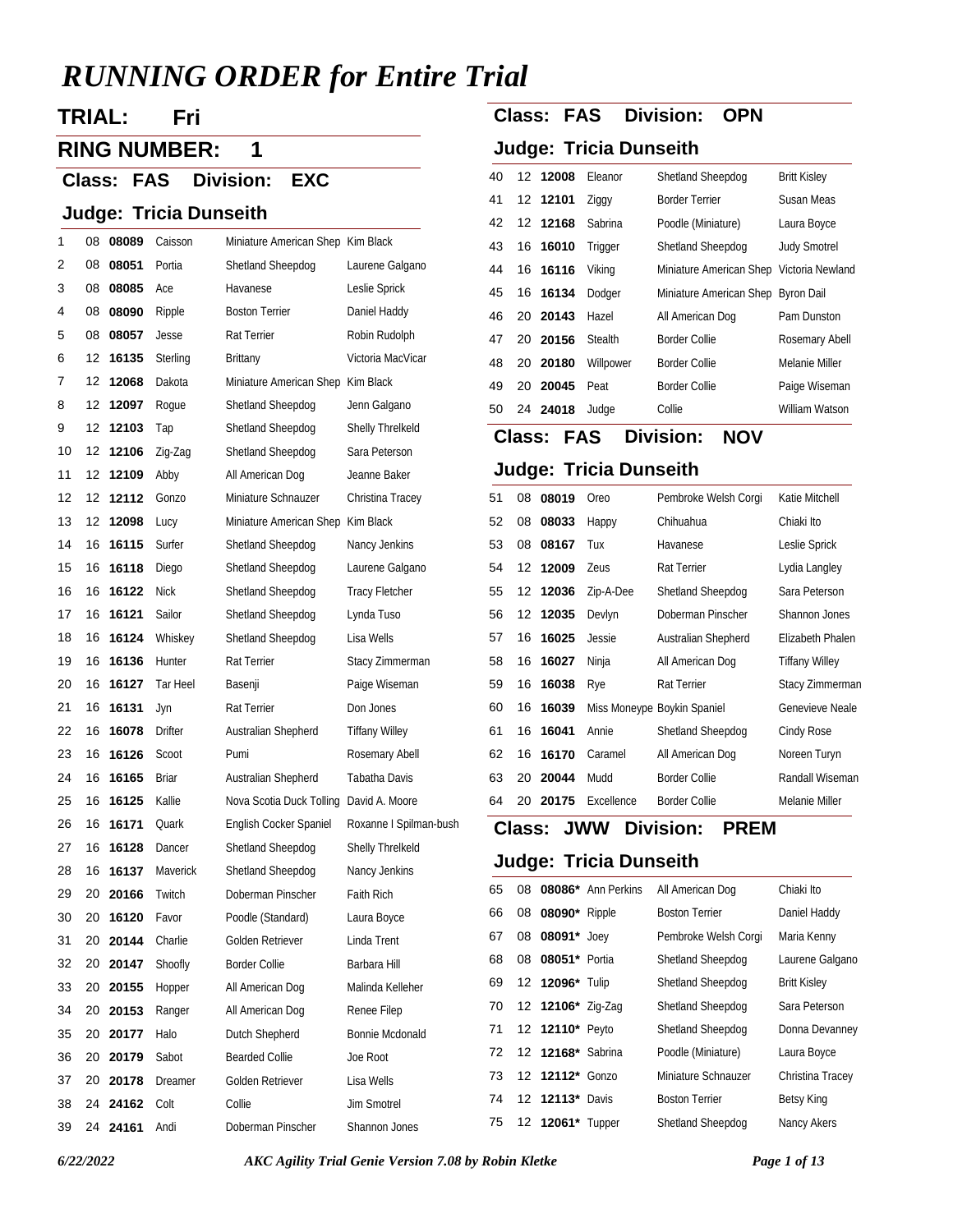# *RUNNING ORDER for Entire Trial*

# **TRIAL: Fri**

**RING NUMBER: 1**

**Class: Division: FAS EXC**

#### **Judge: Tricia Dunseith**

| 1  | 08 | 08089 | Caisson      | Miniature American Shep Kim Black |                        |
|----|----|-------|--------------|-----------------------------------|------------------------|
| 2  | 08 | 08051 | Portia       | Shetland Sheepdog                 | Laurene Galgano        |
| 3  | 08 | 08085 | Ace          | Havanese                          | Leslie Sprick          |
| 4  | 08 | 08090 | Ripple       | <b>Boston Terrier</b>             | Daniel Haddy           |
| 5  | 08 | 08057 | Jesse        | Rat Terrier                       | Robin Rudolph          |
| 6  | 12 | 16135 | Sterling     | Brittany                          | Victoria MacVicar      |
| 7  | 12 | 12068 | Dakota       | Miniature American Shep Kim Black |                        |
| 8  | 12 | 12097 | Roque        | Shetland Sheepdog                 | Jenn Galgano           |
| 9  | 12 | 12103 | Tap          | Shetland Sheepdog                 | Shelly Threlkeld       |
| 10 | 12 | 12106 | Zig-Zag      | Shetland Sheepdog                 | Sara Peterson          |
| 11 | 12 | 12109 | Abby         | All American Dog                  | Jeanne Baker           |
| 12 | 12 | 12112 | Gonzo        | Miniature Schnauzer               | Christina Tracey       |
| 13 | 12 | 12098 | Lucy         | Miniature American Shep Kim Black |                        |
| 14 | 16 | 16115 | Surfer       | Shetland Sheepdog                 | Nancy Jenkins          |
| 15 | 16 | 16118 | Diego        | Shetland Sheepdog                 | Laurene Galgano        |
| 16 | 16 | 16122 | <b>Nick</b>  | Shetland Sheepdog                 | <b>Tracy Fletcher</b>  |
| 17 | 16 | 16121 | Sailor       | Shetland Sheepdog                 | Lynda Tuso             |
| 18 | 16 | 16124 | Whiskey      | Shetland Sheepdog                 | Lisa Wells             |
| 19 | 16 | 16136 | Hunter       | Rat Terrier                       | Stacy Zimmerman        |
| 20 | 16 | 16127 | Tar Heel     | Basenji                           | Paige Wiseman          |
| 21 | 16 | 16131 | Jyn          | Rat Terrier                       | Don Jones              |
| 22 | 16 | 16078 | Drifter      | Australian Shepherd               | <b>Tiffany Willey</b>  |
| 23 | 16 | 16126 | Scoot        | Pumi                              | Rosemary Abell         |
| 24 | 16 | 16165 | <b>Briar</b> | Australian Shepherd               | Tabatha Davis          |
| 25 | 16 | 16125 | Kallie       | Nova Scotia Duck Tolling          | David A. Moore         |
| 26 | 16 | 16171 | Quark        | English Cocker Spaniel            | Roxanne I Spilman-bush |
| 27 | 16 | 16128 | Dancer       | Shetland Sheepdog                 | Shelly Threlkeld       |
| 28 | 16 | 16137 | Maverick     | Shetland Sheepdog                 | Nancy Jenkins          |
| 29 | 20 | 20166 | Twitch       | Doberman Pinscher                 | <b>Faith Rich</b>      |
| 30 | 20 | 16120 | Favor        | Poodle (Standard)                 | Laura Boyce            |
| 31 | 20 | 20144 | Charlie      | Golden Retriever                  | Linda Trent            |
| 32 | 20 | 20147 | Shoofly      | <b>Border Collie</b>              | Barbara Hill           |
| 33 | 20 | 20155 | Hopper       | All American Dog                  | Malinda Kelleher       |
| 34 | 20 | 20153 | Ranger       | All American Dog                  | Renee Filep            |
| 35 | 20 | 20177 | Halo         | Dutch Shepherd                    | Bonnie Mcdonald        |
| 36 | 20 | 20179 | Sabot        | <b>Bearded Collie</b>             | Joe Root               |
| 37 | 20 | 20178 | Dreamer      | Golden Retriever                  | Lisa Wells             |
| 38 | 24 | 24162 | Colt         | Collie                            | Jim Smotrel            |
| 39 | 24 | 24161 | Andi         | Doberman Pinscher                 | Shannon Jones          |

# **Class: FAS Division: OPN**

## **Judge: Tricia Dunseith**

| 40 | 12 12008 | Eleanor   | Shetland Sheepdog                        | <b>Britt Kisley</b> |
|----|----------|-----------|------------------------------------------|---------------------|
| 41 | 12 12101 | Ziggy     | <b>Border Terrier</b>                    | Susan Meas          |
| 42 | 12 12168 | Sabrina   | Poodle (Miniature)                       | Laura Boyce         |
| 43 | 16 16010 | Trigger   | Shetland Sheepdog                        | <b>Judy Smotrel</b> |
| 44 | 16 16116 | Viking    | Miniature American Shep Victoria Newland |                     |
| 45 | 16 16134 | Dodger    | Miniature American Shep Byron Dail       |                     |
| 46 | 20 20143 | Hazel     | All American Dog                         | Pam Dunston         |
| 47 | 20 20156 | Stealth   | <b>Border Collie</b>                     | Rosemary Abell      |
| 48 | 20 20180 | Willpower | <b>Border Collie</b>                     | Melanie Miller      |
| 49 | 20 20045 | Peat      | <b>Border Collie</b>                     | Paige Wiseman       |
| 50 | 24 24018 | Judge     | Collie                                   | William Watson      |

## **Class: FAS Division: NOV**

#### **Judge: Tricia Dunseith**

| 51 | 08 | 08019    | Oreo       | Pembroke Welsh Corgi        | Katie Mitchell        |
|----|----|----------|------------|-----------------------------|-----------------------|
| 52 | 08 | 08033    | Happy      | Chihuahua                   | Chiaki Ito            |
| 53 | 08 | 08167    | Tux        | Havanese                    | Leslie Sprick         |
| 54 |    | 12 12009 | Zeus       | Rat Terrier                 | Lydia Langley         |
| 55 |    | 12 12036 | Zip-A-Dee  | Shetland Sheepdog           | Sara Peterson         |
| 56 |    | 12 12035 | Devlyn     | Doberman Pinscher           | Shannon Jones         |
| 57 | 16 | 16025    | Jessie     | Australian Shepherd         | Elizabeth Phalen      |
| 58 | 16 | 16027    | Ninja      | All American Dog            | <b>Tiffany Willey</b> |
| 59 | 16 | 16038    | Rye        | Rat Terrier                 | Stacy Zimmerman       |
| 60 | 16 | 16039    |            | Miss Moneype Boykin Spaniel | Genevieve Neale       |
| 61 | 16 | 16041    | Annie      | Shetland Sheepdog           | Cindy Rose            |
| 62 |    | 16 16170 | Caramel    | All American Dog            | Noreen Turyn          |
| 63 | 20 | 20044    | Mudd       | <b>Border Collie</b>        | Randall Wiseman       |
| 64 | 20 | 20175    | Excellence | <b>Border Collie</b>        | Melanie Miller        |

### **Class: Division: JWW PREM**

| 65 |                       | 08 08086* Ann Perkins | All American Dog      | Chiaki Ito          |
|----|-----------------------|-----------------------|-----------------------|---------------------|
| 66 | 08 08090* Ripple      |                       | <b>Boston Terrier</b> | Daniel Haddy        |
| 67 | 08 08091* Joey        |                       | Pembroke Welsh Corgi  | Maria Kenny         |
| 68 | 08 08051* Portia      |                       | Shetland Sheepdog     | Laurene Galgano     |
| 69 | 12 12096* Tulip       |                       | Shetland Sheepdog     | <b>Britt Kisley</b> |
| 70 | 12 12106* Zig-Zag     |                       | Shetland Sheepdog     | Sara Peterson       |
| 71 | 12 12110* Peyto       |                       | Shetland Sheepdog     | Donna Devanney      |
| 72 | 12 12168* Sabrina     |                       | Poodle (Miniature)    | Laura Boyce         |
| 73 | 12 12112* Gonzo       |                       | Miniature Schnauzer   | Christina Tracey    |
| 74 | 12 <b>12113</b> Davis |                       | <b>Boston Terrier</b> | <b>Betsy King</b>   |
| 75 | 12 12061* Tupper      |                       | Shetland Sheepdog     | Nancy Akers         |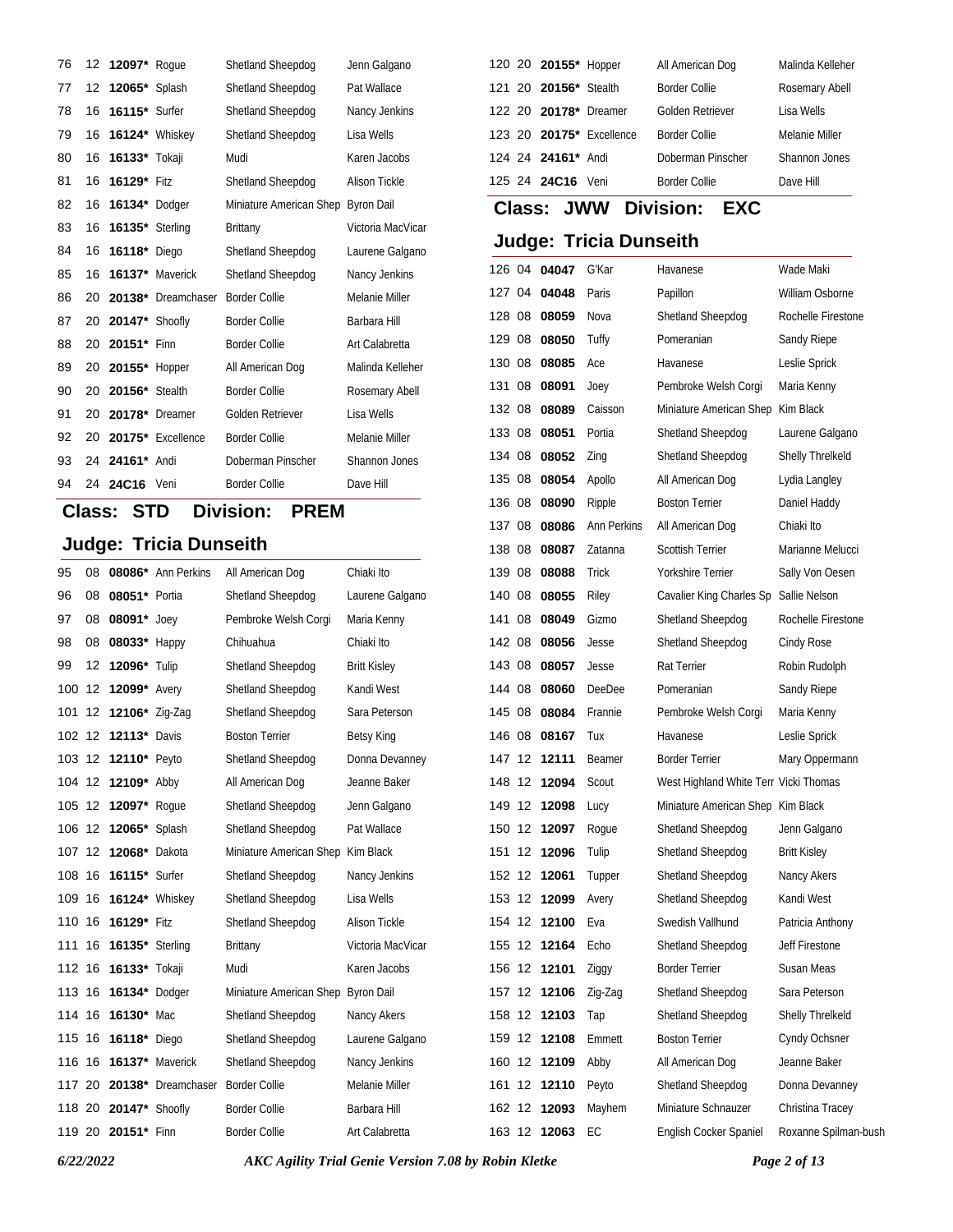| 76 | 12 | 12097* Roque           |                       | Shetland Sheepdog       | Jenn Galgano         |
|----|----|------------------------|-----------------------|-------------------------|----------------------|
| 77 | 12 | <b>12065*</b> Splash   |                       | Shetland Sheepdog       | Pat Wallace          |
| 78 | 16 | 16115* Surfer          |                       | Shetland Sheepdog       | Nancy Jenkins        |
| 79 | 16 |                        | <b>16124*</b> Whiskey | Shetland Sheepdog       | Lisa Wells           |
| 80 | 16 | <b>16133*</b> Tokaji   |                       | Mudi                    | Karen Jacobs         |
| 81 | 16 | 16129* Fitz            |                       | Shetland Sheepdog       | <b>Alison Tickle</b> |
| 82 | 16 | <b>16134*</b> Dodger   |                       | Miniature American Shep | <b>Byron Dail</b>    |
| 83 | 16 | <b>16135*</b> Sterling |                       | <b>Brittany</b>         | Victoria MacVicar    |
| 84 | 16 | 16118*                 | Diego                 | Shetland Sheepdog       | Laurene Galgano      |
| 85 | 16 | 16137*                 | Maverick              | Shetland Sheepdog       | Nancy Jenkins        |
| 86 | 20 |                        | 20138* Dreamchaser    | <b>Border Collie</b>    | Melanie Miller       |
| 87 | 20 | 20147* Shoofly         |                       | <b>Border Collie</b>    | Barbara Hill         |
| 88 | 20 | 20151* Finn            |                       | <b>Border Collie</b>    | Art Calabretta       |
| 89 | 20 | 20155* Hopper          |                       | All American Dog        | Malinda Kelleher     |
| 90 | 20 | 20156* Stealth         |                       | <b>Border Collie</b>    | Rosemary Abell       |
| 91 | 20 | 20178*                 | Dreamer               | Golden Retriever        | Lisa Wells           |
| 92 | 20 |                        | 20175* Excellence     | <b>Border Collie</b>    | Melanie Miller       |
| 93 | 24 | 24161* Andi            |                       | Doberman Pinscher       | <b>Shannon Jones</b> |
| 94 | 24 | 24C16                  | Veni                  | <b>Border Collie</b>    | Dave Hill            |

## **Class: STD Division: PREM**

## **Judge: Tricia Dunseith**

| 95     | 08 |                                | 08086* Ann Perkins | All American Dog                   | Chiaki Ito          | 139 08 |                   | 08088        | Trick       |
|--------|----|--------------------------------|--------------------|------------------------------------|---------------------|--------|-------------------|--------------|-------------|
| 96     | 08 | 08051* Portia                  |                    | Shetland Sheepdog                  | Laurene Galgano     | 140    | 08                | 08055        | Riley       |
| 97     | 08 | 08091* Joey                    |                    | Pembroke Welsh Corgi               | Maria Kenny         | 141    | 08                | 08049        | Gizm        |
| 98     | 08 | 08033* Happy                   |                    | Chihuahua                          | Chiaki Ito          | 142 08 |                   | 08056        | Jess        |
| 99     | 12 | 12096* Tulip                   |                    | Shetland Sheepdog                  | <b>Britt Kisley</b> | 143 08 |                   | 08057        | Jess        |
| 100    |    | 12 12099* Avery                |                    | Shetland Sheepdog                  | Kandi West          | 144 08 |                   | 08060        | Deel        |
|        |    | 101 12 12106* Zig-Zag          |                    | Shetland Sheepdog                  | Sara Peterson       | 145 08 |                   | 08084        | Fran        |
|        |    | 102 12 12113* Davis            |                    | <b>Boston Terrier</b>              | Betsy King          | 146 08 |                   | 08167        | Tux         |
|        |    | 103 12 12110* Peyto            |                    | Shetland Sheepdog                  | Donna Devanney      |        |                   | 147 12 12111 | Bear        |
|        |    | 104 12 12109* Abby             |                    | All American Dog                   | Jeanne Baker        | 148 12 |                   | 12094        | Scou        |
|        |    | 105 12 12097* Roque            |                    | Shetland Sheepdog                  | Jenn Galgano        |        |                   | 149 12 12098 | Lucy        |
|        |    | 106 12 12065* Splash           |                    | Shetland Sheepdog                  | Pat Wallace         | 150 12 |                   | 12097        | Roqu        |
|        |    | 107 12 12068* Dakota           |                    | Miniature American Shep Kim Black  |                     |        |                   | 151 12 12096 | Tulip       |
|        |    | 108 16 16115* Surfer           |                    | Shetland Sheepdog                  | Nancy Jenkins       | 152 12 |                   | 12061        | Tupp        |
|        |    | 109 16 16124* Whiskey          |                    | Shetland Sheepdog                  | Lisa Wells          |        |                   | 153 12 12099 | Aver        |
|        |    | 110 16 16129* Fitz             |                    | Shetland Sheepdog                  | Alison Tickle       |        |                   | 154 12 12100 | Eva         |
|        |    | 111 16 <b>16135</b> * Sterling |                    | <b>Brittany</b>                    | Victoria MacVicar   |        |                   | 155 12 12164 | Echo        |
|        |    | 112 16 16133* Tokaji           |                    | Mudi                               | Karen Jacobs        |        |                   | 156 12 12101 | Zigg        |
| 113 16 |    | <b>16134*</b> Dodger           |                    | Miniature American Shep Byron Dail |                     |        |                   | 157 12 12106 | $Z$ ig- $Z$ |
| 114 16 |    | 16130* Mac                     |                    | Shetland Sheepdog                  | Nancy Akers         | 158    | 12                | 12103        | Tap         |
| 115 16 |    | <b>16118*</b> Diego            |                    | Shetland Sheepdog                  | Laurene Galgano     | 159    | 12                | 12108        | Emm         |
| 116 16 |    | 16137* Maverick                |                    | Shetland Sheepdog                  | Nancy Jenkins       | 160    | 12                | 12109        | Abby        |
| 117 20 |    |                                | 20138* Dreamchaser | <b>Border Collie</b>               | Melanie Miller      | 161    | $12 \overline{ }$ | 12110        | Peyt        |
|        |    | 118 20 20147* Shoofly          |                    | <b>Border Collie</b>               | Barbara Hill        | 162 12 |                   | 12093        | Mayl        |
|        |    | 119 20 20151* Finn             |                    | <b>Border Collie</b>               | Art Calabretta      | 163 12 |                   | 12063        | EC          |
|        |    |                                |                    |                                    |                     |        |                   |              |             |

|  | 120 20 20155* Hopper  |                          | All American Dog     | Malinda Kelleher |
|--|-----------------------|--------------------------|----------------------|------------------|
|  | 121 20 20156* Stealth |                          | <b>Border Collie</b> | Rosemary Abell   |
|  | 122 20 20178* Dreamer |                          | Golden Retriever     | Lisa Wells       |
|  |                       | 123 20 20175* Excellence | <b>Border Collie</b> | Melanie Miller   |
|  | 124 24 24161* Andi    |                          | Doberman Pinscher    | Shannon Jones    |
|  | 125 24 24C16          | Veni                     | <b>Border Collie</b> | Dave Hill        |

# **Class: Division: JWW EXC**

#### **Judge: Tricia Dunseith**

| 126 04 |     | 04047 | G'Kar         | Havanese                              | Wade Maki            |
|--------|-----|-------|---------------|---------------------------------------|----------------------|
| 127 04 |     | 04048 | Paris         | Papillon                              | William Osborne      |
| 128 08 |     | 08059 | Nova          | Shetland Sheepdog                     | Rochelle Firestone   |
| 129 08 |     | 08050 | Tuffy         | Pomeranian                            | Sandy Riepe          |
| 130 08 |     | 08085 | Ace           | Havanese                              | Leslie Sprick        |
| 131    | 08  | 08091 | Joey          | Pembroke Welsh Corgi                  | Maria Kenny          |
| 132 08 |     | 08089 | Caisson       | Miniature American Shep               | Kim Black            |
| 133 08 |     | 08051 | Portia        | Shetland Sheepdog                     | Laurene Galgano      |
| 134 08 |     | 08052 | Zing          | Shetland Sheepdog                     | Shelly Threlkeld     |
| 135 08 |     | 08054 | Apollo        | All American Dog                      | Lydia Langley        |
| 136 08 |     | 08090 | Ripple        | <b>Boston Terrier</b>                 | Daniel Haddy         |
| 137 08 |     | 08086 | Ann Perkins   | All American Dog                      | Chiaki Ito           |
| 138 08 |     | 08087 | Zatanna       | <b>Scottish Terrier</b>               | Marianne Melucci     |
| 139 08 |     | 08088 | Trick         | Yorkshire Terrier                     | Sally Von Oesen      |
| 140 08 |     | 08055 | Riley         | Cavalier King Charles Sp              | Sallie Nelson        |
| 141    | 08  | 08049 | Gizmo         | Shetland Sheepdog                     | Rochelle Firestone   |
| 142 08 |     | 08056 | Jesse         | Shetland Sheepdog                     | Cindy Rose           |
| 143 08 |     | 08057 | Jesse         | Rat Terrier                           | Robin Rudolph        |
| 144 08 |     | 08060 | <b>DeeDee</b> | Pomeranian                            | Sandy Riepe          |
| 145 08 |     | 08084 | Frannie       | Pembroke Welsh Corgi                  | Maria Kenny          |
| 146 08 |     | 08167 | Tux           | Havanese                              | Leslie Sprick        |
| 147 12 |     | 12111 | Beamer        | <b>Border Terrier</b>                 | Mary Oppermann       |
| 148 12 |     | 12094 | Scout         | West Highland White Terr Vicki Thomas |                      |
| 149    | -12 | 12098 | Lucy          | Miniature American Shep Kim Black     |                      |
| 150 12 |     | 12097 | Roque         | Shetland Sheepdog                     | Jenn Galgano         |
| 151    | 12  | 12096 | Tulip         | Shetland Sheepdog                     | <b>Britt Kisley</b>  |
| 152 12 |     | 12061 | Tupper        | Shetland Sheepdog                     | Nancy Akers          |
| 153    | 12  | 12099 | Avery         | Shetland Sheepdog                     | Kandi West           |
| 154 12 |     | 12100 | Eva           | Swedish Vallhund                      | Patricia Anthony     |
| 155 12 |     | 12164 | Echo          | Shetland Sheepdog                     | Jeff Firestone       |
| 156 12 |     | 12101 | Ziggy         | <b>Border Terrier</b>                 | Susan Meas           |
| 157    | 12  | 12106 | Zig-Zag       | Shetland Sheepdog                     | Sara Peterson        |
| 158 12 |     | 12103 | Tap           | Shetland Sheepdog                     | Shelly Threlkeld     |
| 159    | 12  | 12108 | Emmett        | <b>Boston Terrier</b>                 | Cyndy Ochsner        |
| 160    | 12  | 12109 | Abby          | All American Dog                      | Jeanne Baker         |
| 161    | 12  | 12110 | Peyto         | Shetland Sheepdog                     | Donna Devanney       |
| 162 12 |     | 12093 | Mayhem        | Miniature Schnauzer                   | Christina Tracey     |
| 163 12 |     | 12063 | EС            | English Cocker Spaniel                | Roxanne Spilman-bush |
|        |     |       |               |                                       |                      |

*6/22/2022 AKC Agility Trial Genie Version 7.08 by Robin Kletke Page 2 of 13*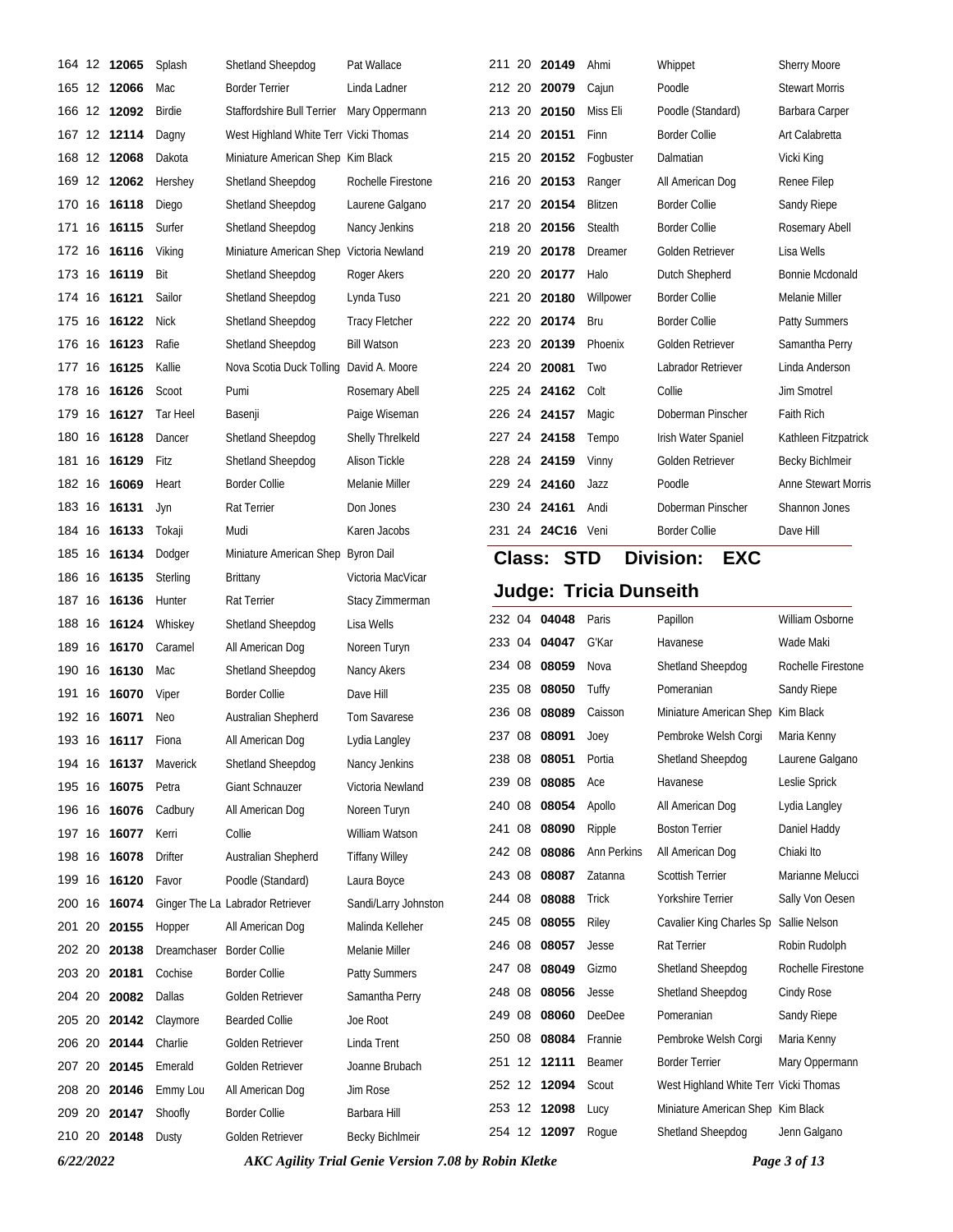|        | 164 12 12065              | Splash           | Shetland Sheepdog                     | Pat Wallace                            |        | 211 20 20149                 | Ahmi                          | Whippet                                                | <b>Sherry Moore</b>        |
|--------|---------------------------|------------------|---------------------------------------|----------------------------------------|--------|------------------------------|-------------------------------|--------------------------------------------------------|----------------------------|
|        | 165 12 12066              | Mac              | <b>Border Terrier</b>                 | Linda Ladner                           |        | 212 20 20079                 | Cajun                         | Poodle                                                 | <b>Stewart Morris</b>      |
|        | 166 12 12092              | Birdie           | Staffordshire Bull Terrier            | Mary Oppermann                         | 213 20 | 20150                        | Miss Eli                      | Poodle (Standard)                                      | Barbara Carper             |
|        | 167 12 12114              | Dagny            | West Highland White Terr Vicki Thomas |                                        | 214 20 | 20151                        | Finn                          | <b>Border Collie</b>                                   | Art Calabretta             |
|        | 168 12 12068              | Dakota           | Miniature American Shep Kim Black     |                                        |        | 215 20 20152                 | Fogbuster                     | Dalmatian                                              | Vicki King                 |
| 169    | 12 12062                  | Hershey          | Shetland Sheepdog                     | Rochelle Firestone                     |        | 216 20 20153                 | Ranger                        | All American Dog                                       | Renee Filep                |
|        | 170 16 16118              | Diego            | Shetland Sheepdog                     | Laurene Galgano                        | 217 20 | 20154                        | Blitzen                       | <b>Border Collie</b>                                   | Sandy Riepe                |
| 171    | 16 16115                  | Surfer           | Shetland Sheepdog                     | Nancy Jenkins                          | 218 20 | 20156                        | Stealth                       | <b>Border Collie</b>                                   | Rosemary Abell             |
|        | 172 16 16116              | Viking           | Miniature American Shep               | Victoria Newland                       |        | 219 20 20178                 | Dreamer                       | Golden Retriever                                       | Lisa Wells                 |
|        | 173 16 16119              | Bit              | Shetland Sheepdog                     | Roger Akers                            |        | 220 20 20177                 | Halo                          | Dutch Shepherd                                         | Bonnie Mcdonald            |
|        | 174 16 16121              | Sailor           | Shetland Sheepdog                     | Lynda Tuso                             | 221 20 | 20180                        | Willpower                     | <b>Border Collie</b>                                   | Melanie Miller             |
|        | 175 16 16122              | Nick             | Shetland Sheepdog                     | Tracy Fletcher                         |        | 222 20 20174                 | Bru                           | <b>Border Collie</b>                                   | <b>Patty Summers</b>       |
|        | 176 16 16123              | Rafie            | Shetland Sheepdog                     | <b>Bill Watson</b>                     |        | 223 20 20139                 | Phoenix                       | Golden Retriever                                       | Samantha Perry             |
|        | 177 16 16125              | Kallie           | Nova Scotia Duck Tolling              | David A. Moore                         |        | 224 20 20081                 | Two                           | Labrador Retriever                                     | Linda Anderson             |
|        | 178 16 16126              | Scoot            | Pumi                                  | Rosemary Abell                         |        | 225 24 24162                 | Colt                          | Collie                                                 | Jim Smotrel                |
|        | 179 16 16127              | Tar Heel         | Basenji                               | Paige Wiseman                          |        | 226 24 24157                 | Magic                         | Doberman Pinscher                                      | Faith Rich                 |
|        | 180 16 16128              | Dancer           | Shetland Sheepdog                     | <b>Shelly Threlkeld</b>                |        | 227 24 24158                 | Tempo                         | Irish Water Spaniel                                    | Kathleen Fitzpatrick       |
| 181    | 16 16129                  | Fitz             | Shetland Sheepdog                     | Alison Tickle                          |        | 228 24 24159                 | Vinny                         | Golden Retriever                                       | <b>Becky Bichlmeir</b>     |
|        | 182 16 16069              | Heart            | <b>Border Collie</b>                  | Melanie Miller                         |        | 229 24 24160                 | Jazz                          | Poodle                                                 | <b>Anne Stewart Morris</b> |
|        | 183 16 16131              | Jyn              | Rat Terrier                           | Don Jones                              |        | 230 24 24161                 | Andi                          | Doberman Pinscher                                      | Shannon Jones              |
|        | 184 16 16133              | Tokaji           | Mudi                                  | Karen Jacobs                           |        | 231 24 24C16 Veni            |                               | Border Collie                                          | Dave Hill                  |
| 185    | 16 16134                  | Dodger           | Miniature American Shep Byron Dail    |                                        |        | <b>Class: STD</b>            |                               | <b>Division:</b><br><b>EXC</b>                         |                            |
|        | 186 16 16135              | Sterling         | <b>Brittany</b>                       | Victoria MacVicar                      |        |                              | <b>Judge: Tricia Dunseith</b> |                                                        |                            |
|        |                           |                  |                                       |                                        |        |                              |                               |                                                        |                            |
|        | 187 16 16136              | Hunter           | Rat Terrier                           | Stacy Zimmerman                        |        |                              |                               |                                                        |                            |
|        | 188 16 16124              | Whiskey          | Shetland Sheepdog                     | Lisa Wells                             |        | 232 04 04048                 | Paris                         | Papillon                                               | William Osborne            |
|        | 189 16 16170              | Caramel          | All American Dog                      | Noreen Turyn                           |        | 233 04 04047                 | G'Kar                         | Havanese                                               | Wade Maki                  |
|        | 190 16 16130              | Mac              | Shetland Sheepdog                     | Nancy Akers                            |        | 234 08 08059                 | Nova                          | Shetland Sheepdog                                      | Rochelle Firestone         |
| 191    | 16 16070                  | Viper            | Border Collie                         | Dave Hill                              | 235 08 | 08050                        | Tuffy                         | Pomeranian                                             | Sandy Riepe                |
|        | 192 16 16071              | Neo              | Australian Shepherd                   | <b>Tom Savarese</b>                    | 236 08 | 08089                        | Caisson                       | Miniature American Shep Kim Black                      |                            |
|        | 193 16 <b>16117</b> Fiona |                  | All American Dog                      | Lydia Langley                          |        | 237 08 08091                 | Joey                          | Pembroke Welsh Corgi                                   | Maria Kenny                |
|        | 194 16 16137              | Maverick         | Shetland Sheepdog                     | Nancy Jenkins                          |        | 238 08 08051                 | Portia                        | Shetland Sheepdog                                      | Laurene Galgano            |
|        | 195 16 16075              | Petra            | Giant Schnauzer                       | Victoria Newland                       |        | 239 08 08085                 | Ace                           | Havanese                                               | Leslie Sprick              |
|        | 196 16 16076              | Cadbury          | All American Dog                      | Noreen Turyn                           |        | 240 08 08054                 | Apollo                        | All American Dog                                       | Lydia Langley              |
|        | 197 16 16077              | Kerri            | Collie                                | William Watson                         | 241 08 | 08090                        | Ripple                        | <b>Boston Terrier</b>                                  | Daniel Haddy               |
|        | 198 16 16078              | Drifter          | <b>Australian Shepherd</b>            | <b>Tiffany Willey</b>                  | 242 08 | 08086                        | Ann Perkins                   | All American Dog                                       | Chiaki Ito                 |
|        | 199 16 16120              | Favor            | Poodle (Standard)                     | Laura Boyce                            | 243 08 | 08087                        | Zatanna                       | <b>Scottish Terrier</b>                                | Marianne Melucci           |
|        | 200 16 16074              |                  | Ginger The La Labrador Retriever      | Sandi/Larry Johnston                   |        | 244 08 08088                 | Trick                         | Yorkshire Terrier                                      | Sally Von Oesen            |
|        | 201 20 20155              | Hopper           | All American Dog                      | Malinda Kelleher                       | 245 08 | 08055                        | Riley                         | Cavalier King Charles Sp                               | Sallie Nelson              |
|        | 202 20 20138              | Dreamchaser      | <b>Border Collie</b>                  | Melanie Miller                         |        | 246 08 08057                 | Jesse                         | Rat Terrier                                            | Robin Rudolph              |
|        | 203 20 20181              | Cochise          | <b>Border Collie</b>                  | <b>Patty Summers</b>                   |        | 247 08 08049                 | Gizmo                         | Shetland Sheepdog                                      | Rochelle Firestone         |
| 204 20 | 20082                     | Dallas           | Golden Retriever                      | Samantha Perry                         |        | 248 08 08056                 | Jesse                         | Shetland Sheepdog                                      | Cindy Rose                 |
| 205 20 | 20142                     | Claymore         | <b>Bearded Collie</b>                 | Joe Root                               | 249 08 | 08060                        | DeeDee                        | Pomeranian                                             | Sandy Riepe                |
|        | 206 20 20144              | Charlie          | Golden Retriever                      | Linda Trent                            |        | 250 08 08084                 | Frannie                       | Pembroke Welsh Corgi                                   | Maria Kenny                |
|        | 207 20 20145              | Emerald          | Golden Retriever                      | Joanne Brubach                         |        | 251 12 12111                 | Beamer                        | <b>Border Terrier</b>                                  | Mary Oppermann             |
| 208 20 | 20146                     | Emmy Lou         | All American Dog                      | Jim Rose                               |        | 252 12 12094                 | Scout                         | West Highland White Terr Vicki Thomas                  |                            |
|        | 209 20 20147              | Shoofly<br>Dusty | <b>Border Collie</b>                  | Barbara Hill<br><b>Becky Bichlmeir</b> |        | 253 12 12098<br>254 12 12097 | Lucy<br>Roque                 | Miniature American Shep Kim Black<br>Shetland Sheepdog | Jenn Galgano               |

*6/22/2022 AKC Agility Trial Genie Version 7.08 by Robin Kletke Page 3 of 13*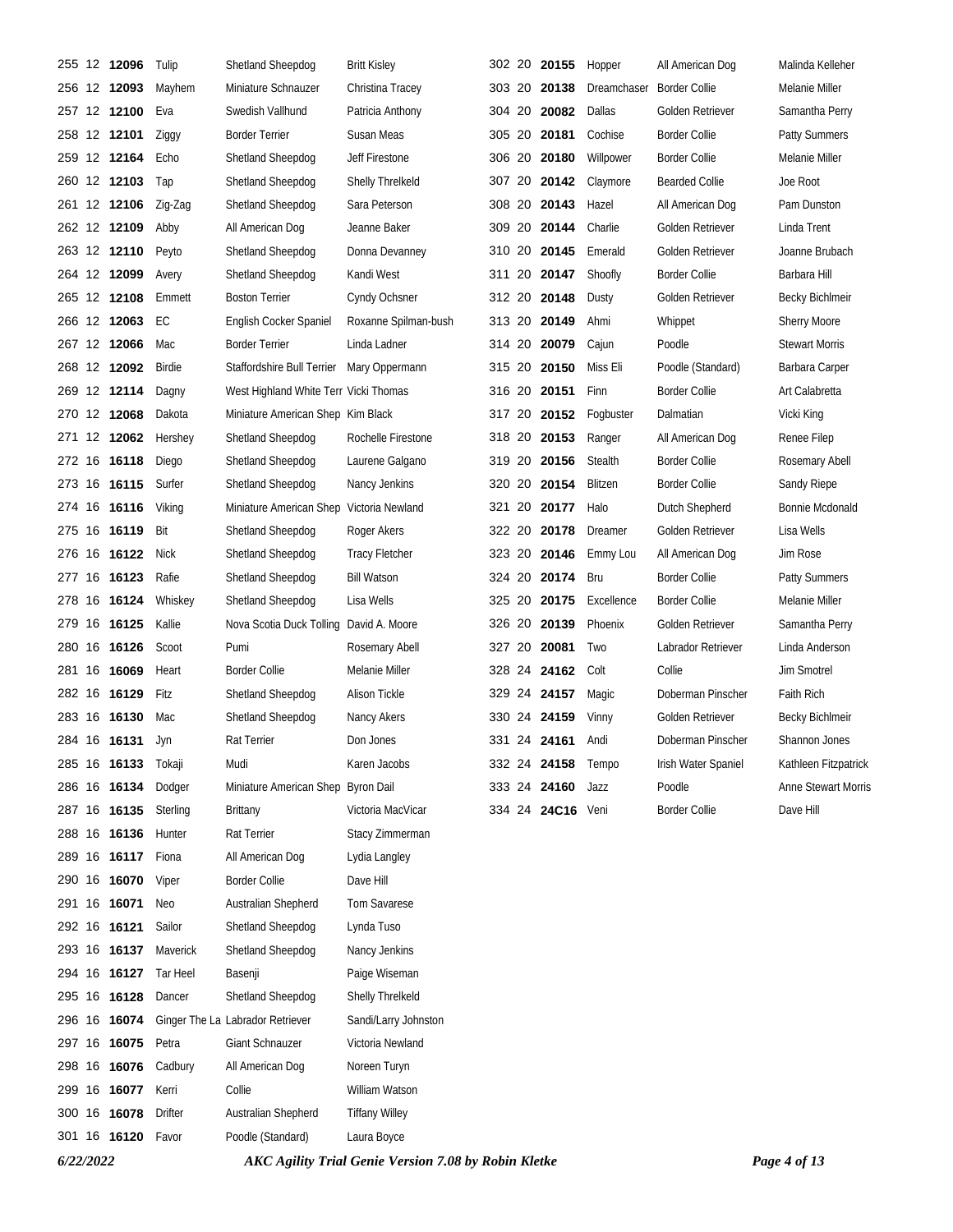| 255 |    | 12 12096            | Tulip    | Shetland Sheepdog                        | <b>Britt Kisley</b>   |  | 302 20 20155      | Hopper      | All American Dog      | Malinda Kelleher           |
|-----|----|---------------------|----------|------------------------------------------|-----------------------|--|-------------------|-------------|-----------------------|----------------------------|
|     |    | 256 12 <b>12093</b> | Mayhem   | Miniature Schnauzer                      | Christina Tracey      |  | 303 20 20138      | Dreamchaser | <b>Border Collie</b>  | Melanie Miller             |
|     |    | 257 12 12100        | Eva      | Swedish Vallhund                         | Patricia Anthony      |  | 304 20 20082      | Dallas      | Golden Retriever      | Samantha Perry             |
|     |    | 258 12 12101        | Ziggy    | <b>Border Terrier</b>                    | Susan Meas            |  | 305 20 20181      | Cochise     | Border Collie         | <b>Patty Summers</b>       |
|     |    | 259 12 12164        | Echo     | Shetland Sheepdog                        | Jeff Firestone        |  | 306 20 20180      | Willpower   | <b>Border Collie</b>  | Melanie Miller             |
|     |    | 260 12 12103        | Tap      | Shetland Sheepdog                        | Shelly Threlkeld      |  | 307 20 20142      | Claymore    | <b>Bearded Collie</b> | Joe Root                   |
|     |    | 261 12 12106        | Zig-Zag  | Shetland Sheepdog                        | Sara Peterson         |  | 308 20 20143      | Hazel       | All American Dog      | Pam Dunston                |
|     |    | 262 12 <b>12109</b> | Abby     | All American Dog                         | Jeanne Baker          |  | 309 20 20144      | Charlie     | Golden Retriever      | Linda Trent                |
|     |    | 263 12 12110        | Peyto    | Shetland Sheepdog                        | Donna Devanney        |  | 310 20 20145      | Emerald     | Golden Retriever      | Joanne Brubach             |
|     |    | 264 12 12099        | Avery    | Shetland Sheepdog                        | Kandi West            |  | 311 20 20147      | Shoofly     | <b>Border Collie</b>  | Barbara Hill               |
|     |    | 265 12 12108        | Emmett   | <b>Boston Terrier</b>                    | Cyndy Ochsner         |  | 312 20 20148      | Dusty       | Golden Retriever      | <b>Becky Bichlmeir</b>     |
|     |    | 266 12 <b>12063</b> | EC       | English Cocker Spaniel                   | Roxanne Spilman-bush  |  | 313 20 20149      | Ahmi        | Whippet               | <b>Sherry Moore</b>        |
|     |    | 267 12 <b>12066</b> | Mac      | <b>Border Terrier</b>                    | Linda Ladner          |  | 314 20 20079      | Cajun       | Poodle                | <b>Stewart Morris</b>      |
|     |    | 268 12 12092        | Birdie   | Staffordshire Bull Terrier               | Mary Oppermann        |  | 315 20 20150      | Miss Eli    | Poodle (Standard)     | Barbara Carper             |
|     |    | 269 12 12114        | Dagny    | West Highland White Terr Vicki Thomas    |                       |  | 316 20 20151      | Finn        | <b>Border Collie</b>  | Art Calabretta             |
|     |    | 270 12 12068        | Dakota   | Miniature American Shep Kim Black        |                       |  | 317 20 20152      | Fogbuster   | Dalmatian             | Vicki King                 |
|     |    | 271 12 <b>12062</b> | Hershey  | Shetland Sheepdog                        | Rochelle Firestone    |  | 318 20 20153      | Ranger      | All American Dog      | Renee Filep                |
|     |    | 272 16 16118        | Diego    | Shetland Sheepdog                        | Laurene Galgano       |  | 319 20 20156      | Stealth     | <b>Border Collie</b>  | Rosemary Abell             |
| 273 |    | 16 16115            | Surfer   | Shetland Sheepdog                        | Nancy Jenkins         |  | 320 20 20154      | Blitzen     | <b>Border Collie</b>  | Sandy Riepe                |
|     |    | 274 16 16116        | Viking   | Miniature American Shep Victoria Newland |                       |  | 321 20 20177      | Halo        | Dutch Shepherd        | Bonnie Mcdonald            |
| 275 |    | 16 16119            | Bit      | Shetland Sheepdog                        | Roger Akers           |  | 322 20 20178      | Dreamer     | Golden Retriever      | Lisa Wells                 |
| 276 |    | 16 16122            | Nick     | Shetland Sheepdog                        | <b>Tracy Fletcher</b> |  | 323 20 20146      | Emmy Lou    | All American Dog      | Jim Rose                   |
| 277 | 16 | 16123               | Rafie    | Shetland Sheepdog                        | <b>Bill Watson</b>    |  | 324 20 20174      | Bru         | <b>Border Collie</b>  | Patty Summers              |
| 278 |    | 16 16124            | Whiskey  | Shetland Sheepdog                        | Lisa Wells            |  | 325 20 20175      | Excellence  | <b>Border Collie</b>  | Melanie Miller             |
| 279 |    | 16 16125            | Kallie   | Nova Scotia Duck Tolling David A. Moore  |                       |  | 326 20 20139      | Phoenix     | Golden Retriever      | Samantha Perry             |
|     |    | 280 16 16126        | Scoot    | Pumi                                     | Rosemary Abell        |  | 327 20 20081      | <b>Two</b>  | Labrador Retriever    | Linda Anderson             |
| 281 | 16 | 16069               | Heart    | <b>Border Collie</b>                     | Melanie Miller        |  | 328 24 24162      | Colt        | Collie                | <b>Jim Smotrel</b>         |
|     |    | 282 16 <b>16129</b> | Fitz     | Shetland Sheepdog                        | <b>Alison Tickle</b>  |  | 329 24 24157      | Magic       | Doberman Pinscher     | <b>Faith Rich</b>          |
|     |    | 283 16 16130        | Mac      | Shetland Sheepdog                        | Nancy Akers           |  | 330 24 24159      | Vinny       | Golden Retriever      | Becky Bichlmeir            |
|     |    | 284 16 <b>16131</b> | Jyn      | Rat Terrier                              | Don Jones             |  | 331 24 24161      | Andi        | Doberman Pinscher     | Shannon Jones              |
|     |    | 285 16 16133 Tokaji |          | Mudi                                     | Karen Jacobs          |  | 332 24 24158      | Tempo       | Irish Water Spaniel   | Kathleen Fitzpatrick       |
|     |    | 286 16 16134        | Dodger   | Miniature American Shep Byron Dail       |                       |  | 333 24 24160      | Jazz        | Poodle                | <b>Anne Stewart Morris</b> |
|     |    | 287 16 16135        | Sterling | <b>Brittany</b>                          | Victoria MacVicar     |  | 334 24 24C16 Veni |             | <b>Border Collie</b>  | Dave Hill                  |
|     |    | 288 16 16136        | Hunter   | Rat Terrier                              | Stacy Zimmerman       |  |                   |             |                       |                            |
|     |    | 289 16 16117        | Fiona    | All American Dog                         | Lydia Langley         |  |                   |             |                       |                            |
|     |    | 290 16 16070        | Viper    | <b>Border Collie</b>                     | Dave Hill             |  |                   |             |                       |                            |
|     |    | 291 16 16071        | Neo      | Australian Shepherd                      | Tom Savarese          |  |                   |             |                       |                            |
|     |    | 292 16 16121        | Sailor   | Shetland Sheepdog                        | Lynda Tuso            |  |                   |             |                       |                            |
|     |    | 293 16 <b>16137</b> | Maverick | Shetland Sheepdog                        | Nancy Jenkins         |  |                   |             |                       |                            |
|     |    | 294 16 16127        | Tar Heel | Basenji                                  | Paige Wiseman         |  |                   |             |                       |                            |
|     |    | 295 16 16128        | Dancer   | Shetland Sheepdog                        | Shelly Threlkeld      |  |                   |             |                       |                            |
|     |    | 296 16 16074        |          | Ginger The La Labrador Retriever         | Sandi/Larry Johnston  |  |                   |             |                       |                            |
|     |    | 297 16 16075        | Petra    | Giant Schnauzer                          | Victoria Newland      |  |                   |             |                       |                            |
|     |    | 298 16 16076        | Cadbury  | All American Dog                         | Noreen Turyn          |  |                   |             |                       |                            |
|     |    | 299 16 16077        | Kerri    | Collie                                   | William Watson        |  |                   |             |                       |                            |
|     |    | 300 16 16078        | Drifter  | Australian Shepherd                      | <b>Tiffany Willey</b> |  |                   |             |                       |                            |
|     |    | 301 16 16120 Favor  |          | Poodle (Standard)                        | Laura Boyce           |  |                   |             |                       |                            |

*6/22/2022 AKC Agility Trial Genie Version 7.08 by Robin Kletke Page 4 of 13*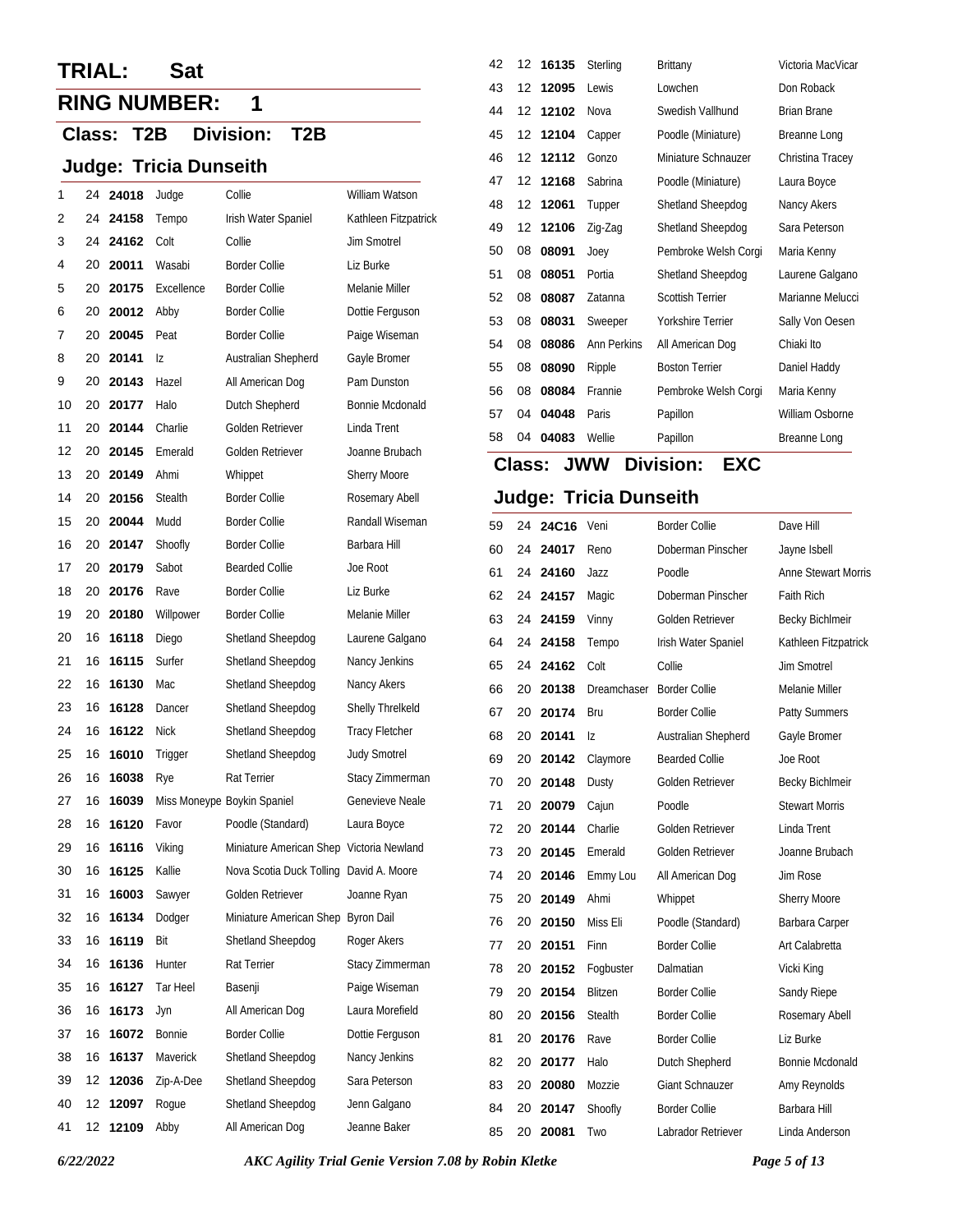# **TRIAL: Sat**

# **RING NUMBER: 1**

## **Class: T2B Division: T2B**

### **Judge: Tricia Dunseith**

|    |    |          |             |                                          |                       | 47 |
|----|----|----------|-------------|------------------------------------------|-----------------------|----|
| 1  | 24 | 24018    | Judge       | Collie                                   | William Watson        | 48 |
| 2  | 24 | 24158    | Tempo       | Irish Water Spaniel                      | Kathleen Fitzpatrick  | 49 |
| 3  | 24 | 24162    | Colt        | Collie                                   | Jim Smotrel           | 50 |
| 4  | 20 | 20011    | Wasabi      | <b>Border Collie</b>                     | Liz Burke             | 51 |
| 5  | 20 | 20175    | Excellence  | <b>Border Collie</b>                     | Melanie Miller        | 52 |
| 6  | 20 | 20012    | Abby        | <b>Border Collie</b>                     | Dottie Ferguson       | 53 |
| 7  | 20 | 20045    | Peat        | <b>Border Collie</b>                     | Paige Wiseman         | 54 |
| 8  | 20 | 20141    | Iz          | Australian Shepherd                      | Gayle Bromer          | 55 |
| 9  | 20 | 20143    | Hazel       | All American Dog                         | Pam Dunston           | 56 |
| 10 | 20 | 20177    | Halo        | Dutch Shepherd                           | Bonnie Mcdonald       | 57 |
| 11 | 20 | 20144    | Charlie     | Golden Retriever                         | Linda Trent           | 58 |
| 12 | 20 | 20145    | Emerald     | Golden Retriever                         | Joanne Brubach        |    |
| 13 | 20 | 20149    | Ahmi        | Whippet                                  | Sherry Moore          | С  |
| 14 | 20 | 20156    | Stealth     | <b>Border Collie</b>                     | Rosemary Abell        | J۱ |
| 15 | 20 | 20044    | Mudd        | <b>Border Collie</b>                     | Randall Wiseman       | 59 |
| 16 | 20 | 20147    | Shoofly     | <b>Border Collie</b>                     | Barbara Hill          | 60 |
| 17 | 20 | 20179    | Sabot       | <b>Bearded Collie</b>                    | Joe Root              | 61 |
| 18 | 20 | 20176    | Rave        | <b>Border Collie</b>                     | Liz Burke             | 62 |
| 19 | 20 | 20180    | Willpower   | <b>Border Collie</b>                     | Melanie Miller        | 63 |
| 20 | 16 | 16118    | Diego       | Shetland Sheepdog                        | Laurene Galgano       | 64 |
| 21 | 16 | 16115    | Surfer      | Shetland Sheepdog                        | Nancy Jenkins         | 65 |
| 22 | 16 | 16130    | Mac         | Shetland Sheepdog                        | Nancy Akers           | 66 |
| 23 | 16 | 16128    | Dancer      | Shetland Sheepdog                        | Shelly Threlkeld      | 67 |
| 24 | 16 | 16122    | <b>Nick</b> | Shetland Sheepdog                        | <b>Tracy Fletcher</b> | 68 |
| 25 | 16 | 16010    | Trigger     | Shetland Sheepdog                        | <b>Judy Smotrel</b>   | 69 |
| 26 | 16 | 16038    | Rye         | Rat Terrier                              | Stacy Zimmerman       | 70 |
| 27 | 16 | 16039    |             | Miss Moneype Boykin Spaniel              | Genevieve Neale       | 71 |
| 28 | 16 | 16120    | Favor       | Poodle (Standard)                        | Laura Boyce           | 72 |
| 29 | 16 | 16116    | Viking      | Miniature American Shep Victoria Newland |                       | 73 |
| 30 | 16 | 16125    | Kallie      | Nova Scotia Duck Tolling David A. Moore  |                       | 74 |
| 31 | 16 | 16003    | Sawyer      | Golden Retriever                         | Joanne Ryan           | 75 |
| 32 | 16 | 16134    | Dodger      | Miniature American Shep Byron Dail       |                       | 76 |
| 33 | 16 | 16119    | Bit         | Shetland Sheepdog                        | Roger Akers           | 77 |
| 34 | 16 | 16136    | Hunter      | Rat Terrier                              | Stacy Zimmerman       | 78 |
| 35 | 16 | 16127    | Tar Heel    | Basenji                                  | Paige Wiseman         | 79 |
| 36 | 16 | 16173    | Jyn         | All American Dog                         | Laura Morefield       | 80 |
| 37 | 16 | 16072    | Bonnie      | <b>Border Collie</b>                     | Dottie Ferguson       | 81 |
| 38 | 16 | 16137    | Maverick    | Shetland Sheepdog                        | Nancy Jenkins         | 82 |
| 39 | 12 | 12036    | Zip-A-Dee   | Shetland Sheepdog                        | Sara Peterson         | 83 |
| 40 | 12 | 12097    | Rogue       | Shetland Sheepdog                        | Jenn Galgano          | 84 |
| 41 |    | 12 12109 | Abby        | All American Dog                         | Jeanne Baker          | 85 |

| 42 |    | 12 16135       | Sterling           | <b>Brittany</b>         | Victoria MacVicar  |
|----|----|----------------|--------------------|-------------------------|--------------------|
| 43 | 12 | Lewis<br>12095 |                    | Lowchen                 | Don Roback         |
| 44 | 12 | 12102          | Nova               | Swedish Vallhund        | <b>Brian Brane</b> |
| 45 | 12 | 12104          | Capper             | Poodle (Miniature)      | Breanne Long       |
| 46 | 12 | 12112          | Gonzo              | Miniature Schnauzer     | Christina Tracey   |
| 47 | 12 | 12168          | Sabrina            | Poodle (Miniature)      | Laura Boyce        |
| 48 | 12 | 12061          | Tupper             | Shetland Sheepdog       | Nancy Akers        |
| 49 | 12 | 12106          | Zig-Zag            | Shetland Sheepdog       | Sara Peterson      |
| 50 | 08 | 08091          | Joey               | Pembroke Welsh Corgi    | Maria Kenny        |
| 51 | 08 | 08051          | Portia             | Shetland Sheepdog       | Laurene Galgano    |
| 52 | 08 | 08087          | Zatanna            | <b>Scottish Terrier</b> | Marianne Melucci   |
| 53 | 08 | 08031          | Sweeper            | Yorkshire Terrier       | Sally Von Oesen    |
| 54 | 08 | 08086          | <b>Ann Perkins</b> | All American Dog        | Chiaki Ito         |
| 55 | 08 | 08090          | Ripple             | <b>Boston Terrier</b>   | Daniel Haddy       |
| 56 | 08 | 08084          | Frannie            | Pembroke Welsh Corgi    | Maria Kenny        |
| 57 | 04 | 04048          | Paris              | Papillon                | William Osborne    |
| 58 | 04 | 04083          | Wellie             | Papillon                | Breanne Long       |

# **Class: Division: JWW EXC**

| 59 | 24 | 24C16 | Veni           | <b>Border Collie</b>   | Dave Hill                  |
|----|----|-------|----------------|------------------------|----------------------------|
| 60 | 24 | 24017 | Reno           | Doberman Pinscher      | Jayne Isbell               |
| 61 | 24 | 24160 | Jazz           | Poodle                 | <b>Anne Stewart Morris</b> |
| 62 | 24 | 24157 | Magic          | Doberman Pinscher      | Faith Rich                 |
| 63 | 24 | 24159 | Vinny          | Golden Retriever       | <b>Becky Bichlmeir</b>     |
| 64 | 24 | 24158 | Tempo          | Irish Water Spaniel    | Kathleen Fitzpatrick       |
| 65 | 24 | 24162 | Colt           | Collie                 | <b>Jim Smotrel</b>         |
| 66 | 20 | 20138 | Dreamchaser    | <b>Border Collie</b>   | Melanie Miller             |
| 67 | 20 | 20174 | Bru            | <b>Border Collie</b>   | Patty Summers              |
| 68 | 20 | 20141 | Ιz             | Australian Shepherd    | Gayle Bromer               |
| 69 | 20 | 20142 | Claymore       | <b>Bearded Collie</b>  | Joe Root                   |
| 70 | 20 | 20148 | Dusty          | Golden Retriever       | <b>Becky Bichlmeir</b>     |
| 71 | 20 | 20079 | Cajun          | Poodle                 | <b>Stewart Morris</b>      |
| 72 | 20 | 20144 | Charlie        | Golden Retriever       | Linda Trent                |
| 73 | 20 | 20145 | Emerald        | Golden Retriever       | Joanne Brubach             |
| 74 | 20 | 20146 | Emmy Lou       | All American Dog       | Jim Rose                   |
| 75 | 20 | 20149 | Ahmi           | Whippet                | <b>Sherry Moore</b>        |
| 76 | 20 | 20150 | Miss Eli       | Poodle (Standard)      | Barbara Carper             |
| 77 | 20 | 20151 | Finn           | <b>Border Collie</b>   | Art Calabretta             |
| 78 | 20 | 20152 | Fogbuster      | Dalmatian              | Vicki King                 |
| 79 | 20 | 20154 | <b>Blitzen</b> | <b>Border Collie</b>   | Sandy Riepe                |
| 80 | 20 | 20156 | <b>Stealth</b> | <b>Border Collie</b>   | Rosemary Abell             |
| 81 | 20 | 20176 | Rave           | <b>Border Collie</b>   | Liz Burke                  |
| 82 | 20 | 20177 | Halo           | Dutch Shepherd         | Bonnie Mcdonald            |
| 83 | 20 | 20080 | Mozzie         | <b>Giant Schnauzer</b> | Amy Reynolds               |
| 84 | 20 | 20147 | Shoofly        | <b>Border Collie</b>   | Barbara Hill               |
| 85 | 20 | 20081 | Two            | Labrador Retriever     | Linda Anderson             |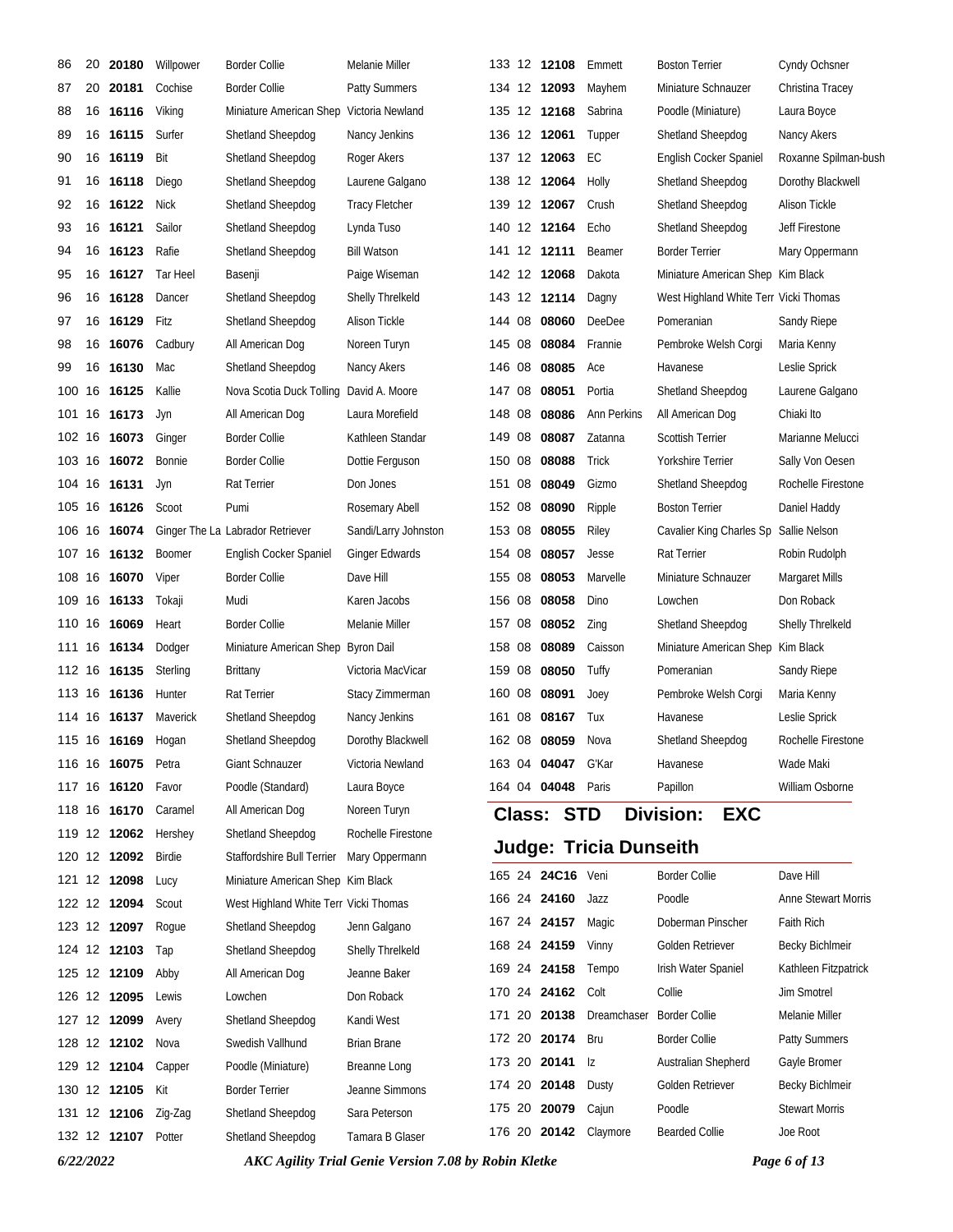| 86        | 20 | 20180               | Willpower     | <b>Border Collie</b>                     | Melanie Miller                                              |        | 133 12 12108              | Emmett                        | <b>Boston Terrier</b>                 | Cyndy Ochsner              |
|-----------|----|---------------------|---------------|------------------------------------------|-------------------------------------------------------------|--------|---------------------------|-------------------------------|---------------------------------------|----------------------------|
| 87        | 20 | 20181               | Cochise       | <b>Border Collie</b>                     | <b>Patty Summers</b>                                        |        | 134 12 12093              | Mayhem                        | Miniature Schnauzer                   | Christina Tracey           |
| 88        | 16 | 16116               | Viking        | Miniature American Shep Victoria Newland |                                                             |        | 135 12 12168              | Sabrina                       | Poodle (Miniature)                    | Laura Boyce                |
| 89        |    | 16 16115            | Surfer        | Shetland Sheepdog                        | Nancy Jenkins                                               |        | 136 12 12061              | Tupper                        | Shetland Sheepdog                     | Nancy Akers                |
| 90        |    | 16 16119            | Bit           | Shetland Sheepdog                        | Roger Akers                                                 |        | 137 12 12063              | EC                            | English Cocker Spaniel                | Roxanne Spilman-bush       |
| 91        |    | 16 16118            | Diego         | Shetland Sheepdog                        | Laurene Galgano                                             |        | 138 12 12064              | Holly                         | Shetland Sheepdog                     | Dorothy Blackwell          |
| 92        | 16 | 16122               | <b>Nick</b>   | Shetland Sheepdog                        | <b>Tracy Fletcher</b>                                       |        | 139 12 12067              | Crush                         | Shetland Sheepdog                     | Alison Tickle              |
| 93        |    | 16 16121            | Sailor        | Shetland Sheepdog                        | Lynda Tuso                                                  |        | 140 12 12164              | Echo                          | Shetland Sheepdog                     | Jeff Firestone             |
| 94        |    | 16 16123            | Rafie         | Shetland Sheepdog                        | <b>Bill Watson</b>                                          |        | 141 12 12111              | Beamer                        | <b>Border Terrier</b>                 | Mary Oppermann             |
| 95        |    | 16 16127            | Tar Heel      | Basenji                                  | Paige Wiseman                                               |        | 142 12 12068              | Dakota                        | Miniature American Shep Kim Black     |                            |
| 96        |    | 16 16128            | Dancer        | Shetland Sheepdog                        | <b>Shelly Threlkeld</b>                                     |        | 143 12 12114              | Dagny                         | West Highland White Terr Vicki Thomas |                            |
| 97        |    | 16 16129            | Fitz          | Shetland Sheepdog                        | Alison Tickle                                               | 144 08 | 08060                     | DeeDee                        | Pomeranian                            | Sandy Riepe                |
| 98        |    | 16 16076            | Cadbury       | All American Dog                         | Noreen Turyn                                                | 145 08 | 08084                     | Frannie                       | Pembroke Welsh Corgi                  | Maria Kenny                |
| 99        |    | 16 16130            | Mac           | Shetland Sheepdog                        | Nancy Akers                                                 | 146 08 | 08085                     | Ace                           | Havanese                              | Leslie Sprick              |
| 100       | 16 | 16125               | Kallie        | Nova Scotia Duck Tolling                 | David A. Moore                                              | 147 08 | 08051                     | Portia                        | Shetland Sheepdog                     | Laurene Galgano            |
| 101       |    | 16 16173            | Jyn           | All American Dog                         | Laura Morefield                                             | 148 08 | 08086                     | Ann Perkins                   | All American Dog                      | Chiaki Ito                 |
| 102 16    |    | 16073               | Ginger        | <b>Border Collie</b>                     | Kathleen Standar                                            | 149 08 | 08087                     | Zatanna                       | <b>Scottish Terrier</b>               | Marianne Melucci           |
|           |    | 103 16 16072        | Bonnie        | <b>Border Collie</b>                     | Dottie Ferguson                                             | 150 08 | 08088                     | Trick                         | Yorkshire Terrier                     | Sally Von Oesen            |
| 104 16    |    | 16131               | Jyn           | Rat Terrier                              | Don Jones                                                   | 151 08 | 08049                     | Gizmo                         | Shetland Sheepdog                     | Rochelle Firestone         |
| 105       |    | 16 16126            | Scoot         | Pumi                                     | Rosemary Abell                                              | 152 08 | 08090                     | Ripple                        | <b>Boston Terrier</b>                 | Daniel Haddy               |
| 106       | 16 | 16074               |               | Ginger The La Labrador Retriever         | Sandi/Larry Johnston                                        | 153 08 | 08055                     | Riley                         | Cavalier King Charles Sp              | Sallie Nelson              |
|           |    | 107 16 16132        | <b>Boomer</b> | English Cocker Spaniel                   | <b>Ginger Edwards</b>                                       | 154 08 | 08057                     | Jesse                         | Rat Terrier                           | Robin Rudolph              |
| 108       | 16 | 16070               | Viper         | <b>Border Collie</b>                     | Dave Hill                                                   | 155 08 | 08053                     | Marvelle                      | Miniature Schnauzer                   | Margaret Mills             |
| 109       |    | 16 16133            | Tokaji        | Mudi                                     | Karen Jacobs                                                | 156 08 | 08058                     | Dino                          | Lowchen                               | Don Roback                 |
| 110       | 16 | 16069               | Heart         | <b>Border Collie</b>                     | Melanie Miller                                              | 157 08 | 08052                     | Zing                          | Shetland Sheepdog                     | Shelly Threlkeld           |
|           |    | 111 16 16134        | Dodger        | Miniature American Shep Byron Dail       |                                                             | 158 08 | 08089                     | Caisson                       | Miniature American Shep               | Kim Black                  |
| 112 16    |    | 16135               | Sterling      | <b>Brittany</b>                          | Victoria MacVicar                                           | 159 08 | 08050                     | Tuffy                         | Pomeranian                            | Sandy Riepe                |
|           |    | 113 16 16136        | Hunter        | Rat Terrier                              | Stacy Zimmerman                                             | 160 08 | 08091                     | Joey                          | Pembroke Welsh Corgi                  | Maria Kenny                |
|           |    | 114 16 16137        | Maverick      | Shetland Sheepdog                        | Nancy Jenkins                                               | 161 08 | 08167                     | Tux                           | Havanese                              | Leslie Sprick              |
|           |    | 115 16 16169        | Hogan         | Shetland Sheepdog                        | Dorothy Blackwell                                           |        | 162 08 08059              | Nova                          | Shetland Sheepdog                     | Rochelle Firestone         |
|           |    | 116 16 16075        | Petra         | Giant Schnauzer                          | Victoria Newland                                            |        | 163 04 04047 G'Kar        |                               | Havanese                              | Wade Maki                  |
|           |    | 117 16 16120        | Favor         | Poodle (Standard)                        | Laura Boyce                                                 |        | 164 04 <b>04048</b> Paris |                               | Papillon                              | William Osborne            |
|           |    | 118 16 16170        | Caramel       | All American Dog                         | Noreen Turyn                                                |        | <b>Class: STD</b>         |                               | <b>Division:</b><br><b>EXC</b>        |                            |
|           |    | 119 12 12062        | Hershey       | Shetland Sheepdog                        | Rochelle Firestone                                          |        |                           |                               |                                       |                            |
|           |    | 120 12 12092        | Birdie        | Staffordshire Bull Terrier               | Mary Oppermann                                              |        |                           | <b>Judge: Tricia Dunseith</b> |                                       |                            |
|           |    | 121 12 12098        | Lucy          | Miniature American Shep Kim Black        |                                                             |        | 165 24 24C16 Veni         |                               | <b>Border Collie</b>                  | Dave Hill                  |
|           |    | 122 12 12094        | Scout         | West Highland White Terr Vicki Thomas    |                                                             |        | 166 24 24160 Jazz         |                               | Poodle                                | <b>Anne Stewart Morris</b> |
|           |    | 123 12 12097        | Roque         | Shetland Sheepdog                        | Jenn Galgano                                                |        | 167 24 24157              | Magic                         | Doberman Pinscher                     | Faith Rich                 |
|           |    | 124 12 12103        | Tap           | Shetland Sheepdog                        | Shelly Threlkeld                                            |        | 168 24 24159              | Vinny                         | Golden Retriever                      | <b>Becky Bichlmeir</b>     |
|           |    | 125 12 12109        | Abby          | All American Dog                         | Jeanne Baker                                                |        | 169 24 24158              | Tempo                         | Irish Water Spaniel                   | Kathleen Fitzpatrick       |
|           |    | 126 12 12095        | Lewis         | Lowchen                                  | Don Roback                                                  |        | 170 24 24162              | Colt                          | Collie                                | Jim Smotrel                |
|           |    | 127 12 12099        | Avery         | Shetland Sheepdog                        | Kandi West                                                  |        | 171 20 20138              | Dreamchaser                   | <b>Border Collie</b>                  | Melanie Miller             |
|           |    | 128 12 12102 Nova   |               | Swedish Vallhund                         | <b>Brian Brane</b>                                          |        | 172 20 20174              | Bru                           | <b>Border Collie</b>                  | Patty Summers              |
|           |    | 129 12 12104        | Capper        | Poodle (Miniature)                       | Breanne Long                                                |        | 173 20 20141 Iz           |                               | Australian Shepherd                   | Gayle Bromer               |
|           |    | 130 12 12105        | Kit           | <b>Border Terrier</b>                    | Jeanne Simmons                                              |        | 174 20 20148              | Dusty                         | Golden Retriever                      | Becky Bichlmeir            |
|           |    | 131 12 12106        | Zig-Zag       | Shetland Sheepdog                        | Sara Peterson                                               |        | 175 20 20079              | Cajun                         | Poodle                                | <b>Stewart Morris</b>      |
|           |    | 132 12 12107 Potter |               | Shetland Sheepdog                        | Tamara B Glaser                                             |        |                           | 176 20 20142 Claymore         | <b>Bearded Collie</b>                 | Joe Root                   |
| 6/22/2022 |    |                     |               |                                          | <b>AKC Agility Trial Genie Version 7.08 by Robin Kletke</b> |        |                           |                               |                                       | Page 6 of 13               |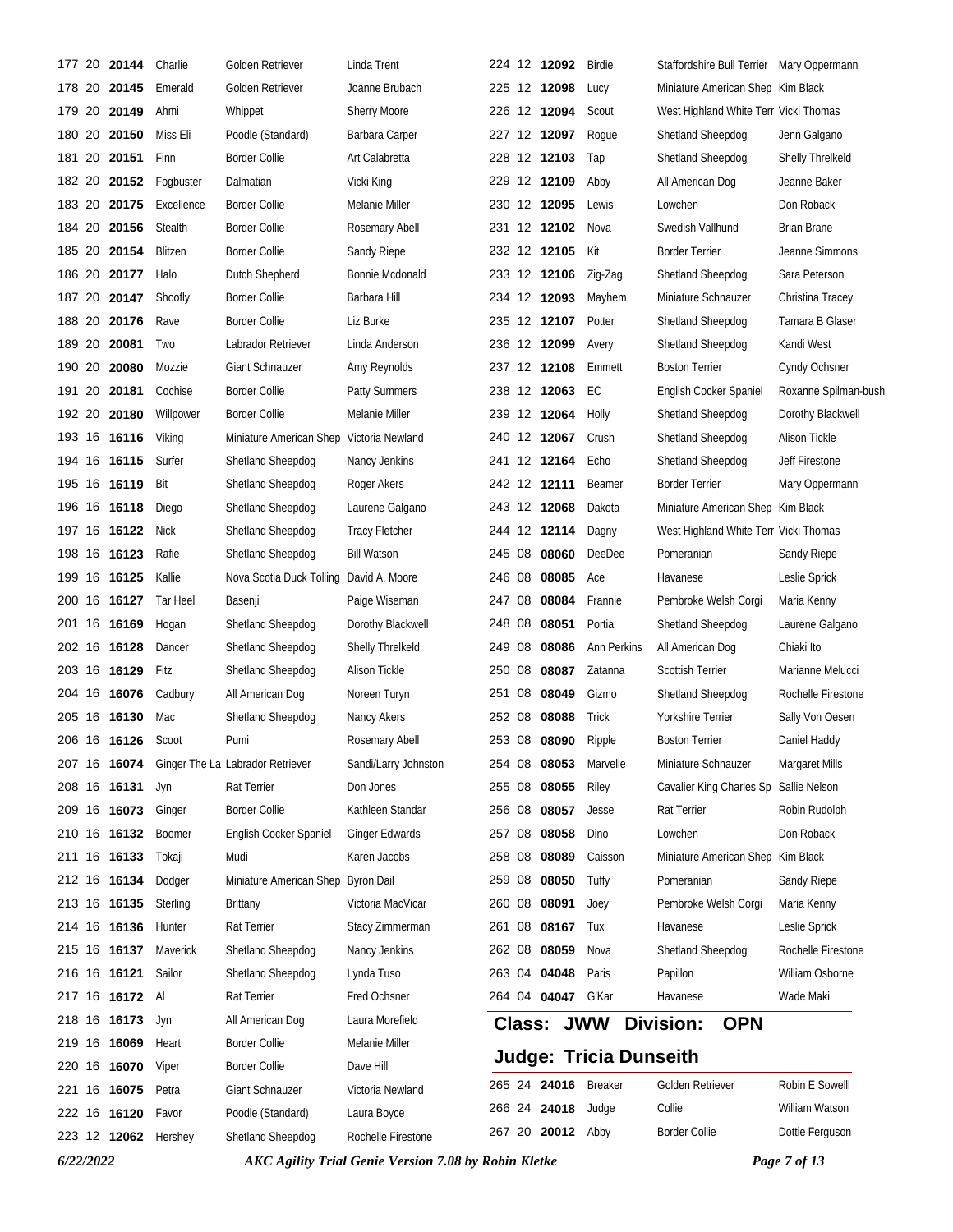| 177    | 20  | 20144           | Charlie              | Golden Retriever                              | Linda Trent             |        | 224 12 12092      | Birdie                        | Staffordshire Bull Terrier Mary Oppermann |                         |
|--------|-----|-----------------|----------------------|-----------------------------------------------|-------------------------|--------|-------------------|-------------------------------|-------------------------------------------|-------------------------|
|        |     | 178 20 20145    | Emerald              | Golden Retriever                              | Joanne Brubach          |        | 225 12 12098      | Lucy                          | Miniature American Shep Kim Black         |                         |
| 179    | 20  | 20149           | Ahmi                 | Whippet                                       | <b>Sherry Moore</b>     |        | 226 12 12094      | Scout                         | West Highland White Terr Vicki Thomas     |                         |
| 180 20 |     | 20150           | Miss Eli             | Poodle (Standard)                             | Barbara Carper          |        | 227 12 12097      | Rogue                         | Shetland Sheepdog                         | Jenn Galgano            |
| 181    | 20  | 20151           | Finn                 | <b>Border Collie</b>                          | Art Calabretta          |        | 228 12 12103      | Tap                           | Shetland Sheepdog                         | <b>Shelly Threlkeld</b> |
| 182 20 |     | 20152           | Fogbuster            | Dalmatian                                     | Vicki King              |        | 229 12 12109      | Abby                          | All American Dog                          | Jeanne Baker            |
| 183 20 |     | 20175           | Excellence           | <b>Border Collie</b>                          | Melanie Miller          |        | 230 12 12095      | Lewis                         | Lowchen                                   | Don Roback              |
| 184 20 |     | 20156           | Stealth              | Border Collie                                 | Rosemary Abell          |        | 231 12 12102      | Nova                          | Swedish Vallhund                          | <b>Brian Brane</b>      |
| 185 20 |     | 20154           | Blitzen              | <b>Border Collie</b>                          | Sandy Riepe             |        | 232 12 12105      | Kit                           | <b>Border Terrier</b>                     | Jeanne Simmons          |
| 186 20 |     | 20177           | Halo                 | Dutch Shepherd                                | Bonnie Mcdonald         |        | 233 12 12106      | Zig-Zag                       | Shetland Sheepdog                         | Sara Peterson           |
| 187 20 |     | 20147           | Shoofly              | <b>Border Collie</b>                          | Barbara Hill            |        | 234 12 12093      | Mayhem                        | Miniature Schnauzer                       | Christina Tracey        |
| 188 20 |     | 20176           | Rave                 | <b>Border Collie</b>                          | Liz Burke               |        | 235 12 12107      | Potter                        | Shetland Sheepdog                         | Tamara B Glaser         |
| 189 20 |     | 20081           | Two                  | Labrador Retriever                            | Linda Anderson          |        | 236 12 12099      | Avery                         | Shetland Sheepdog                         | Kandi West              |
| 190 20 |     | 20080           | Mozzie               | <b>Giant Schnauzer</b>                        | Amy Reynolds            |        | 237 12 12108      | Emmett                        | <b>Boston Terrier</b>                     | Cyndy Ochsner           |
| 191    | -20 | 20181           | Cochise              | <b>Border Collie</b>                          | <b>Patty Summers</b>    |        | 238 12 12063      | EC                            | English Cocker Spaniel                    | Roxanne Spilman-bush    |
| 192 20 |     | 20180           | Willpower            | <b>Border Collie</b>                          | Melanie Miller          |        | 239 12 12064      | Holly                         | Shetland Sheepdog                         | Dorothy Blackwell       |
|        |     | 193 16 16116    | Viking               | Miniature American Shep                       | Victoria Newland        |        | 240 12 12067      | Crush                         | Shetland Sheepdog                         | Alison Tickle           |
|        |     | 194 16 16115    | Surfer               | Shetland Sheepdog                             | Nancy Jenkins           |        | 241 12 12164      | Echo                          | Shetland Sheepdog                         | Jeff Firestone          |
| 195    | 16  | 16119           | Bit                  | Shetland Sheepdog                             | Roger Akers             |        | 242 12 12111      | Beamer                        | <b>Border Terrier</b>                     | Mary Oppermann          |
|        |     | 196 16 16118    | Diego                | Shetland Sheepdog                             | Laurene Galgano         |        | 243 12 12068      | Dakota                        | Miniature American Shep Kim Black         |                         |
| 197 16 |     | 16122           | Nick                 | Shetland Sheepdog                             | <b>Tracy Fletcher</b>   |        | 244 12 12114      | Dagny                         | West Highland White Terr Vicki Thomas     |                         |
|        |     | 198 16 16123    | Rafie                | Shetland Sheepdog                             | <b>Bill Watson</b>      |        | 245 08 08060      | DeeDee                        | Pomeranian                                | Sandy Riepe             |
| 199    | 16  | 16125           | Kallie               | Nova Scotia Duck Tolling                      | David A. Moore          |        | 246 08 08085      | Ace                           | Havanese                                  | Leslie Sprick           |
| 200    | 16  | 16127           | Tar Heel             | Basenji                                       | Paige Wiseman           | 247 08 | 08084             | Frannie                       | Pembroke Welsh Corgi                      | Maria Kenny             |
| 201    | 16  | 16169           | Hogan                | Shetland Sheepdog                             | Dorothy Blackwell       | 248 08 | 08051             | Portia                        | Shetland Sheepdog                         | Laurene Galgano         |
|        |     | 202 16 16128    | Dancer               | Shetland Sheepdog                             | <b>Shelly Threlkeld</b> | 249 08 | 08086             | Ann Perkins                   | All American Dog                          | Chiaki Ito              |
| 203    |     | 16 16129        | Fitz                 | Shetland Sheepdog                             | Alison Tickle           | 250 08 | 08087             | Zatanna                       | <b>Scottish Terrier</b>                   | Marianne Melucci        |
|        |     | 204 16 16076    | Cadbury              | All American Dog                              | Noreen Turyn            | 251 08 | 08049             | Gizmo                         | Shetland Sheepdog                         | Rochelle Firestone      |
|        |     | 205 16 16130    | Mac                  | Shetland Sheepdog                             | Nancy Akers             | 252 08 | 08088             | Trick                         | Yorkshire Terrier                         | Sally Von Oesen         |
|        |     | 206 16 16126    | Scoot                | Pumi                                          | Rosemary Abell          |        | 253 08 08090      | Ripple                        | <b>Boston Terrier</b>                     | Daniel Haddy            |
|        |     |                 |                      | 207 16 16074 Ginger The La Labrador Retriever | Sandi/Larry Johnston    |        | 254 08 08053      | Marvelle                      | Miniature Schnauzer                       | Margaret Mills          |
|        |     | 208 16 16131    | Jyn                  | Rat Terrier                                   | Don Jones               |        | 255 08 08055      | Riley                         | Cavalier King Charles Sp Sallie Nelson    |                         |
|        |     | 209 16 16073    | Ginger               | <b>Border Collie</b>                          | Kathleen Standar        |        | 256 08 08057      | Jesse                         | Rat Terrier                               | Robin Rudolph           |
|        |     | 210 16 16132    | Boomer               | English Cocker Spaniel                        | Ginger Edwards          | 257 08 | 08058             | Dino                          | Lowchen                                   | Don Roback              |
| 211    |     | 16 16133        | Tokaji               | Mudi                                          | Karen Jacobs            | 258 08 | 08089             | Caisson                       | Miniature American Shep Kim Black         |                         |
|        |     | 212 16 16134    | Dodger               | Miniature American Shep Byron Dail            |                         |        | 259 08 08050      | Tuffy                         | Pomeranian                                | Sandy Riepe             |
|        |     | 213 16 16135    | Sterling             | Brittany                                      | Victoria MacVicar       |        | 260 08 08091      | Joey                          | Pembroke Welsh Corgi                      | Maria Kenny             |
|        |     | 214 16 16136    | Hunter               | Rat Terrier                                   | Stacy Zimmerman         | 261 08 | 08167             | Tux                           | Havanese                                  | Leslie Sprick           |
|        |     | 215 16 16137    | Maverick             | Shetland Sheepdog                             | Nancy Jenkins           |        | 262 08 08059      | Nova                          | Shetland Sheepdog                         | Rochelle Firestone      |
|        |     | 216 16 16121    | Sailor               | Shetland Sheepdog                             | Lynda Tuso              |        | 263 04 04048      | Paris                         | Papillon                                  | William Osborne         |
|        |     | 217 16 16172 Al |                      | Rat Terrier                                   | Fred Ochsner            |        | 264 04 04047      | G'Kar                         | Havanese                                  | Wade Maki               |
|        |     | 218 16 16173    | Jyn                  | All American Dog                              | Laura Morefield         |        | <b>Class: JWW</b> |                               | <b>OPN</b><br>Division:                   |                         |
|        |     | 219 16 16069    | Heart                | <b>Border Collie</b>                          | Melanie Miller          |        |                   | <b>Judge: Tricia Dunseith</b> |                                           |                         |
|        |     | 220 16 16070    | Viper                | <b>Border Collie</b>                          | Dave Hill               |        |                   |                               |                                           |                         |
| 221    |     | 16 16075        | Petra                | Giant Schnauzer                               | Victoria Newland        |        | 265 24 24016      | <b>Breaker</b>                | Golden Retriever                          | Robin E Sowelll         |
|        |     | 222 16 16120    | Favor                | Poodle (Standard)                             | Laura Boyce             |        | 266 24 24018      | Judge                         | Collie                                    | William Watson          |
|        |     |                 | 223 12 12062 Hershey | Shetland Sheepdog                             | Rochelle Firestone      |        | 267 20 20012 Abby |                               | Border Collie                             | Dottie Ferguson         |

*6/22/2022 AKC Agility Trial Genie Version 7.08 by Robin Kletke Page 7 of 13*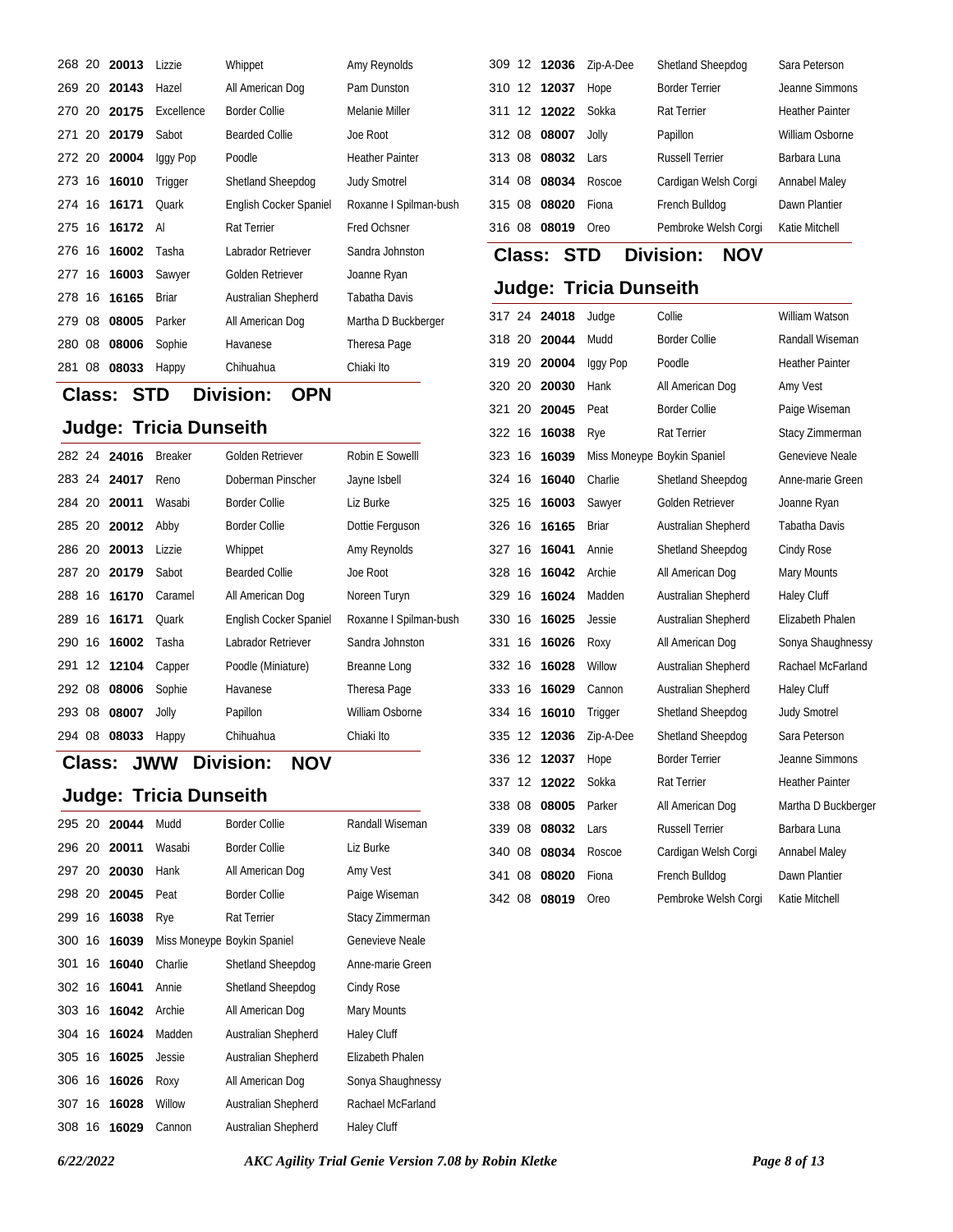|        |    | 268 20 20013 | Lizzie       | Whippet                       | Amy Reynolds           |
|--------|----|--------------|--------------|-------------------------------|------------------------|
|        |    | 269 20 20143 | Hazel        | All American Dog              | Pam Dunston            |
|        |    | 270 20 20175 | Excellence   | <b>Border Collie</b>          | Melanie Miller         |
|        |    | 271 20 20179 | Sabot        | <b>Bearded Collie</b>         | Joe Root               |
|        |    | 272 20 20004 | lggy Pop     | Poodle                        | <b>Heather Painter</b> |
|        |    | 273 16 16010 | Trigger      | Shetland Sheepdog             | <b>Judy Smotrel</b>    |
|        |    | 274 16 16171 | Quark        | <b>English Cocker Spaniel</b> | Roxanne I Spilman-bush |
|        |    | 275 16 16172 | Al           | <b>Rat Terrier</b>            | <b>Fred Ochsner</b>    |
|        |    | 276 16 16002 | Tasha        | Labrador Retriever            | Sandra Johnston        |
|        |    | 277 16 16003 | Sawyer       | Golden Retriever              | Joanne Ryan            |
|        |    | 278 16 16165 | <b>Briar</b> | Australian Shepherd           | Tabatha Davis          |
| 279 08 |    | 08005        | Parker       | All American Dog              | Martha D Buckberger    |
| 280 08 |    | 08006        | Sophie       | Havanese                      | Theresa Page           |
| 281    | 08 | 08033        | Happy        | Chihuahua                     | Chiaki Ito             |

# **Class: STD Division: OPN**

#### **Judge: Tricia Dunseith**

|        | 282 24 24016 | <b>Breaker</b> | Golden Retriever       | Robin E Sowelll        |
|--------|--------------|----------------|------------------------|------------------------|
|        | 283 24 24017 | Reno           | Doberman Pinscher      | Jayne Isbell           |
|        | 284 20 20011 | Wasabi         | <b>Border Collie</b>   | Liz Burke              |
|        | 285 20 20012 | Abby           | <b>Border Collie</b>   | Dottie Ferguson        |
|        | 286 20 20013 | Lizzie         | Whippet                | Amy Reynolds           |
|        | 287 20 20179 | Sabot          | Bearded Collie         | Joe Root               |
|        | 288 16 16170 | Caramel        | All American Dog       | Noreen Turyn           |
|        | 289 16 16171 | Ouark          | English Cocker Spaniel | Roxanne I Spilman-bush |
|        | 290 16 16002 | Tasha          | Labrador Retriever     | Sandra Johnston        |
|        | 291 12 12104 | Capper         | Poodle (Miniature)     | Breanne Long           |
|        | 292 08 08006 | Sophie         | Havanese               | Theresa Page           |
| 293 08 | 08007        | Jolly          | Papillon               | William Osborne        |
| 294 08 | 08033        | Happy          | Chihuahua              | Chiaki Ito             |

#### **Class: Division: JWW NOV**

#### **Judge: Tricia Dunseith**

|        |    | 295 20 20044 | Mudd    | <b>Border Collie</b>        | Randall Wiseman   |
|--------|----|--------------|---------|-----------------------------|-------------------|
|        |    | 296 20 20011 | Wasabi  | <b>Border Collie</b>        | Liz Burke         |
|        |    | 297 20 20030 | Hank    | All American Dog            | Amy Vest          |
|        |    | 298 20 20045 | Peat    | <b>Border Collie</b>        | Paige Wiseman     |
| 299 16 |    | 16038        | Rye     | <b>Rat Terrier</b>          | Stacy Zimmerman   |
| 300 16 |    | 16039        |         | Miss Moneype Boykin Spaniel | Genevieve Neale   |
| 301 16 |    | 16040        | Charlie | Shetland Sheepdog           | Anne-marie Green  |
| 302 16 |    | 16041        | Annie   | Shetland Sheepdog           | Cindy Rose        |
| 303 16 |    | 16042        | Archie  | All American Dog            | Mary Mounts       |
| 304 16 |    | 16024        | Madden  | Australian Shepherd         | Haley Cluff       |
| 305 16 |    | 16025        | Jessie  | Australian Shepherd         | Elizabeth Phalen  |
| 306 16 |    | 16026        | Roxy    | All American Dog            | Sonya Shaughnessy |
| 307 16 |    | 16028        | Willow  | Australian Shepherd         | Rachael McFarland |
| 308    | 16 | 16029        | Cannon  | Australian Shepherd         | Haley Cluff       |

| 309 12 12036       | Zip-A-Dee | Shetland Sheepdog      | Sara Peterson          |
|--------------------|-----------|------------------------|------------------------|
| 310 12 12037       | Hope      | <b>Border Terrier</b>  | Jeanne Simmons         |
| 311 12 12022 Sokka |           | <b>Rat Terrier</b>     | <b>Heather Painter</b> |
| 312 08 08007       | Jolly     | Papillon               | William Osborne        |
| 08032<br>313 08    | Lars      | <b>Russell Terrier</b> | Barbara Luna           |
| 314 08<br>08034    | Roscoe    | Cardigan Welsh Corgi   | <b>Annabel Maley</b>   |
| 315 08<br>08020    | Fiona     | French Bulldog         | Dawn Plantier          |
| 08019<br>316 08    | Oreo      | Pembroke Welsh Corgi   | Katie Mitchell         |

# **Class: STD Division: NOV**

| 317 24 |    | 24018 | Judge        | Collie                      | William Watson         |
|--------|----|-------|--------------|-----------------------------|------------------------|
| 318 20 |    | 20044 | Mudd         | <b>Border Collie</b>        | Randall Wiseman        |
| 319 20 |    | 20004 | Iggy Pop     | Poodle                      | <b>Heather Painter</b> |
| 320 20 |    | 20030 | Hank         | All American Dog            | Amy Vest               |
| 321 20 |    | 20045 | Peat         | <b>Border Collie</b>        | Paige Wiseman          |
| 322 16 |    | 16038 | Rye          | <b>Rat Terrier</b>          | Stacy Zimmerman        |
| 323 16 |    | 16039 |              | Miss Moneype Boykin Spaniel | Genevieve Neale        |
| 324 16 |    | 16040 | Charlie      | Shetland Sheepdog           | Anne-marie Green       |
| 325 16 |    | 16003 | Sawyer       | Golden Retriever            | Joanne Ryan            |
| 326 16 |    | 16165 | <b>Briar</b> | Australian Shepherd         | <b>Tabatha Davis</b>   |
| 327 16 |    | 16041 | Annie        | Shetland Sheepdog           | Cindy Rose             |
| 328 16 |    | 16042 | Archie       | All American Dog            | Mary Mounts            |
| 329 16 |    | 16024 | Madden       | Australian Shepherd         | Haley Cluff            |
| 330    | 16 | 16025 | Jessie       | Australian Shepherd         | Elizabeth Phalen       |
| 331    | 16 | 16026 | Roxy         | All American Dog            | Sonya Shaughnessy      |
| 332 16 |    | 16028 | Willow       | Australian Shepherd         | Rachael McFarland      |
| 333 16 |    | 16029 | Cannon       | Australian Shepherd         | Haley Cluff            |
| 334 16 |    | 16010 | Trigger      | Shetland Sheepdog           | <b>Judy Smotrel</b>    |
| 335 12 |    | 12036 | Zip-A-Dee    | Shetland Sheepdog           | Sara Peterson          |
| 336 12 |    | 12037 | Hope         | <b>Border Terrier</b>       | Jeanne Simmons         |
| 337    | 12 | 12022 | Sokka        | <b>Rat Terrier</b>          | <b>Heather Painter</b> |
| 338 08 |    | 08005 | Parker       | All American Dog            | Martha D Buckberger    |
| 339 08 |    | 08032 | Lars         | <b>Russell Terrier</b>      | Barbara Luna           |
| 340 08 |    | 08034 | Roscoe       | Cardigan Welsh Corgi        | <b>Annabel Maley</b>   |
| 341    | 08 | 08020 | Fiona        | French Bulldog              | Dawn Plantier          |
| 342 08 |    | 08019 | Oreo         | Pembroke Welsh Corgi        | Katie Mitchell         |
|        |    |       |              |                             |                        |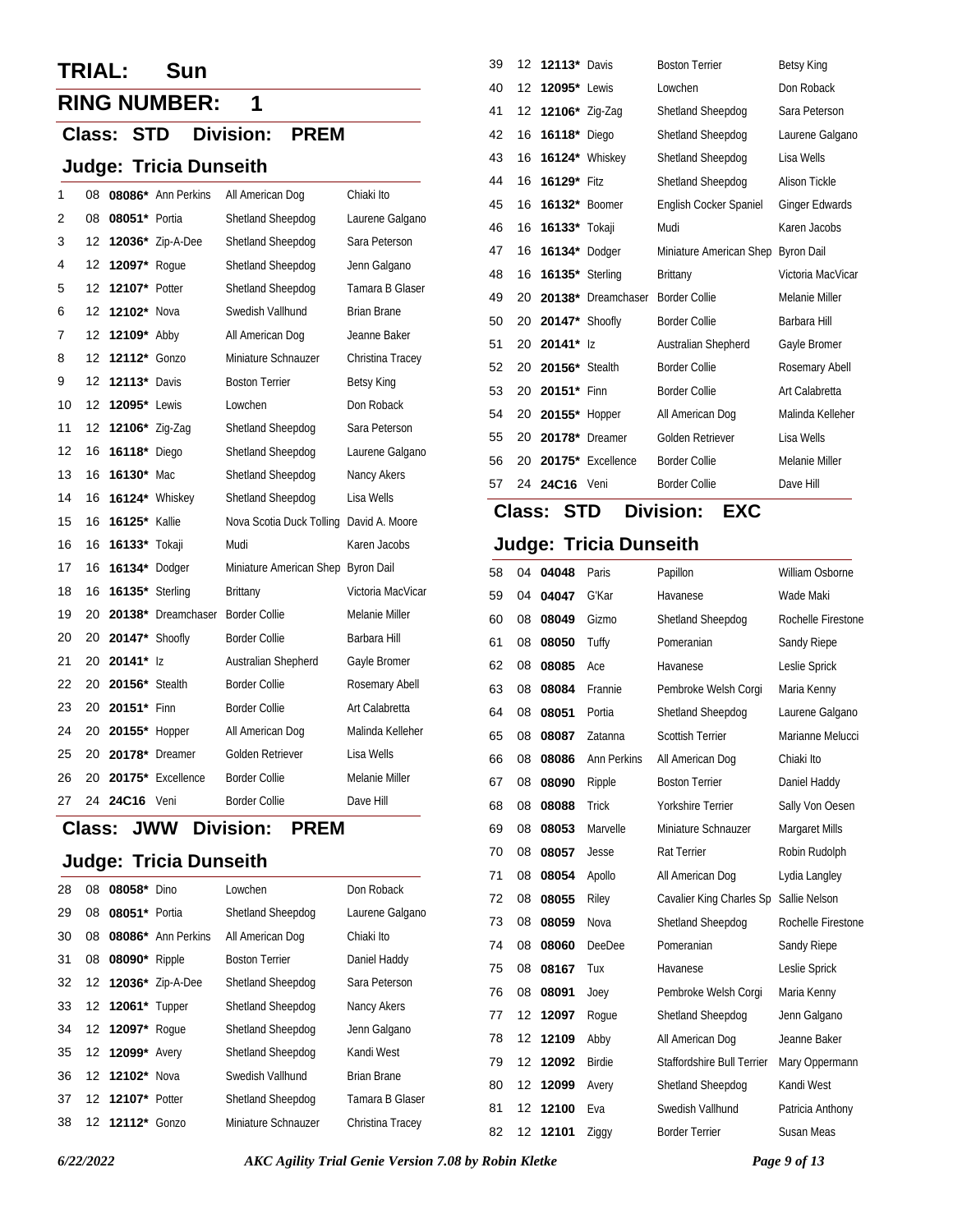## **TRIAL: Sun**

# **RING NUMBER: 1**

#### **Class: STD Division: PREM**

#### **Judge: Tricia Dunseith**

| 1  | 08 |                       | 08086* Ann Perkins | All American Dog                   | Chiaki Ito         |
|----|----|-----------------------|--------------------|------------------------------------|--------------------|
| 2  | 08 | 08051* Portia         |                    | Shetland Sheepdog                  | Laurene Galgano    |
| 3  | 12 | 12036*                | Zip-A-Dee          | Shetland Sheepdog                  | Sara Peterson      |
| 4  | 12 | 12097*                | Roque              | Shetland Sheepdog                  | Jenn Galgano       |
| 5  | 12 | 12107* Potter         |                    | Shetland Sheepdog                  | Tamara B Glaser    |
| 6  | 12 | 12102* Nova           |                    | Swedish Vallhund                   | <b>Brian Brane</b> |
| 7  | 12 | 12109* Abby           |                    | All American Dog                   | Jeanne Baker       |
| 8  | 12 | 12112*                | Gonzo              | Miniature Schnauzer                | Christina Tracey   |
| 9  | 12 | 12113*                | Davis              | <b>Boston Terrier</b>              | <b>Betsy King</b>  |
| 10 | 12 | <b>12095*</b> Lewis   |                    | Lowchen                            | Don Roback         |
| 11 | 12 | 12106* Zig-Zag        |                    | Shetland Sheepdog                  | Sara Peterson      |
| 12 | 16 | 16118*                | Diego              | Shetland Sheepdog                  | Laurene Galgano    |
| 13 | 16 | 16130* Mac            |                    | Shetland Sheepdog                  | Nancy Akers        |
| 14 | 16 | 16124* Whiskey        |                    | Shetland Sheepdog                  | Lisa Wells         |
| 15 | 16 | <b>16125*</b> Kallie  |                    | Nova Scotia Duck Tolling           | David A. Moore     |
| 16 | 16 | 16133* Tokaji         |                    | Mudi                               | Karen Jacobs       |
| 17 | 16 | 16134*                | Dodger             | Miniature American Shep Byron Dail |                    |
| 18 | 16 | 16135* Sterling       |                    | <b>Brittany</b>                    | Victoria MacVicar  |
| 19 | 20 |                       | 20138* Dreamchaser | <b>Border Collie</b>               | Melanie Miller     |
| 20 | 20 | <b>20147*</b> Shoofly |                    | <b>Border Collie</b>               | Barbara Hill       |
| 21 | 20 | 20141*                | $\vert$ 7          | Australian Shepherd                | Gayle Bromer       |
| 22 | 20 | <b>20156*</b> Stealth |                    | <b>Border Collie</b>               | Rosemary Abell     |
| 23 | 20 | 20151*                | Finn               | <b>Border Collie</b>               | Art Calabretta     |
| 24 | 20 | 20155* Hopper         |                    | All American Dog                   | Malinda Kelleher   |
| 25 | 20 | 20178*                | Dreamer            | Golden Retriever                   | Lisa Wells         |
| 26 | 20 |                       | 20175* Excellence  | <b>Border Collie</b>               | Melanie Miller     |
| 27 | 24 | 24C16                 | Veni               | <b>Border Collie</b>               | Dave Hill          |

#### **Class: Division: JWW PREM**

#### **Judge: Tricia Dunseith**

| 28 |    | 08 08058* Dino   |                     | Lowchen               | Don Roback         |
|----|----|------------------|---------------------|-----------------------|--------------------|
| 29 | 08 | 08051* Portia    |                     | Shetland Sheepdog     | Laurene Galgano    |
| 30 | 08 |                  | 08086* Ann Perkins  | All American Dog      | Chiaki Ito         |
| 31 |    | 08 08090* Ripple |                     | <b>Boston Terrier</b> | Daniel Haddy       |
| 32 |    |                  | 12 12036* Zip-A-Dee | Shetland Sheepdog     | Sara Peterson      |
| 33 |    | 12 12061* Tupper |                     | Shetland Sheepdog     | Nancy Akers        |
| 34 |    | 12 12097* Roque  |                     | Shetland Sheepdog     | Jenn Galgano       |
| 35 |    | 12 12099* Avery  |                     | Shetland Sheepdog     | Kandi West         |
| 36 |    | 12 12102* Nova   |                     | Swedish Vallhund      | <b>Brian Brane</b> |
| 37 |    | 12 12107* Potter |                     | Shetland Sheepdog     | Tamara B Glaser    |
| 38 |    | 12 12112* Gonzo  |                     | Miniature Schnauzer   | Christina Tracev   |

| 39 |    | 12 <b>12113</b> Davis  |                       | <b>Boston Terrier</b>   | <b>Betsy King</b>     |
|----|----|------------------------|-----------------------|-------------------------|-----------------------|
| 40 | 12 | <b>12095*</b> Lewis    |                       | Lowchen                 | Don Roback            |
| 41 | 12 | 12106* Zig-Zag         |                       | Shetland Sheepdog       | Sara Peterson         |
| 42 | 16 | <b>16118*</b> Diego    |                       | Shetland Sheepdog       | Laurene Galgano       |
| 43 | 16 |                        | <b>16124*</b> Whiskey | Shetland Sheepdog       | Lisa Wells            |
| 44 | 16 | 16129* Fitz            |                       | Shetland Sheepdog       | Alison Tickle         |
| 45 | 16 | 16132* Boomer          |                       | English Cocker Spaniel  | <b>Ginger Edwards</b> |
| 46 | 16 | 16133* Tokaji          |                       | Mudi                    | Karen Jacobs          |
| 47 | 16 | 16134* Dodger          |                       | Miniature American Shep | <b>Byron Dail</b>     |
| 48 | 16 | <b>16135*</b> Sterling |                       | Brittany                | Victoria MacVicar     |
| 49 | 20 |                        | 20138* Dreamchaser    | <b>Border Collie</b>    | Melanie Miller        |
| 50 | 20 | <b>20147*</b> Shoofly  |                       | <b>Border Collie</b>    | Barbara Hill          |
| 51 | 20 | $20141*$ 17            |                       | Australian Shepherd     | Gayle Bromer          |
| 52 | 20 | 20156* Stealth         |                       | <b>Border Collie</b>    | Rosemary Abell        |
| 53 | 20 | 20151* Finn            |                       | <b>Border Collie</b>    | Art Calabretta        |
| 54 | 20 | 20155*                 | Hopper                | All American Dog        | Malinda Kelleher      |
| 55 | 20 | 20178*                 | Dreamer               | Golden Retriever        | Lisa Wells            |
| 56 | 20 |                        | 20175* Excellence     | <b>Border Collie</b>    | Melanie Miller        |
| 57 | 24 | 24C16                  | Veni                  | <b>Border Collie</b>    | Dave Hill             |

## **Class: STD Division: EXC**

| 58 | 04 | 04048 | Paris              | Papillon                   | William Osborne    |
|----|----|-------|--------------------|----------------------------|--------------------|
| 59 | 04 | 04047 | G'Kar              | Havanese                   | Wade Maki          |
| 60 | 08 | 08049 | Gizmo              | Shetland Sheepdog          | Rochelle Firestone |
| 61 | 08 | 08050 | Tuffy              | Pomeranian                 | Sandy Riepe        |
| 62 | 08 | 08085 | Ace                | Havanese                   | Leslie Sprick      |
| 63 | 08 | 08084 | Frannie            | Pembroke Welsh Corgi       | Maria Kenny        |
| 64 | 08 | 08051 | Portia             | Shetland Sheepdog          | Laurene Galgano    |
| 65 | 08 | 08087 | Zatanna            | <b>Scottish Terrier</b>    | Marianne Melucci   |
| 66 | 08 | 08086 | <b>Ann Perkins</b> | All American Dog           | Chiaki Ito         |
| 67 | 08 | 08090 | Ripple             | <b>Boston Terrier</b>      | Daniel Haddy       |
| 68 | 08 | 08088 | Trick              | Yorkshire Terrier          | Sally Von Oesen    |
| 69 | 08 | 08053 | Marvelle           | Miniature Schnauzer        | Margaret Mills     |
| 70 | 08 | 08057 | Jesse              | <b>Rat Terrier</b>         | Robin Rudolph      |
| 71 | 08 | 08054 | Apollo             | All American Dog           | Lydia Langley      |
| 72 | 08 | 08055 | Riley              | Cavalier King Charles Sp   | Sallie Nelson      |
| 73 | 08 | 08059 | Nova               | Shetland Sheepdog          | Rochelle Firestone |
| 74 | 08 | 08060 | <b>DeeDee</b>      | Pomeranian                 | Sandy Riepe        |
| 75 | 08 | 08167 | Tux                | Havanese                   | Leslie Sprick      |
| 76 | 08 | 08091 | Joey               | Pembroke Welsh Corgi       | Maria Kenny        |
| 77 | 12 | 12097 | Roque              | Shetland Sheepdog          | Jenn Galgano       |
| 78 | 12 | 12109 | Abby               | All American Dog           | Jeanne Baker       |
| 79 | 12 | 12092 | <b>Birdie</b>      | Staffordshire Bull Terrier | Mary Oppermann     |
| 80 | 12 | 12099 | Avery              | Shetland Sheepdog          | Kandi West         |
| 81 | 12 | 12100 | Eva                | Swedish Vallhund           | Patricia Anthony   |
| 82 | 12 | 12101 | Ziggy              | <b>Border Terrier</b>      | Susan Meas         |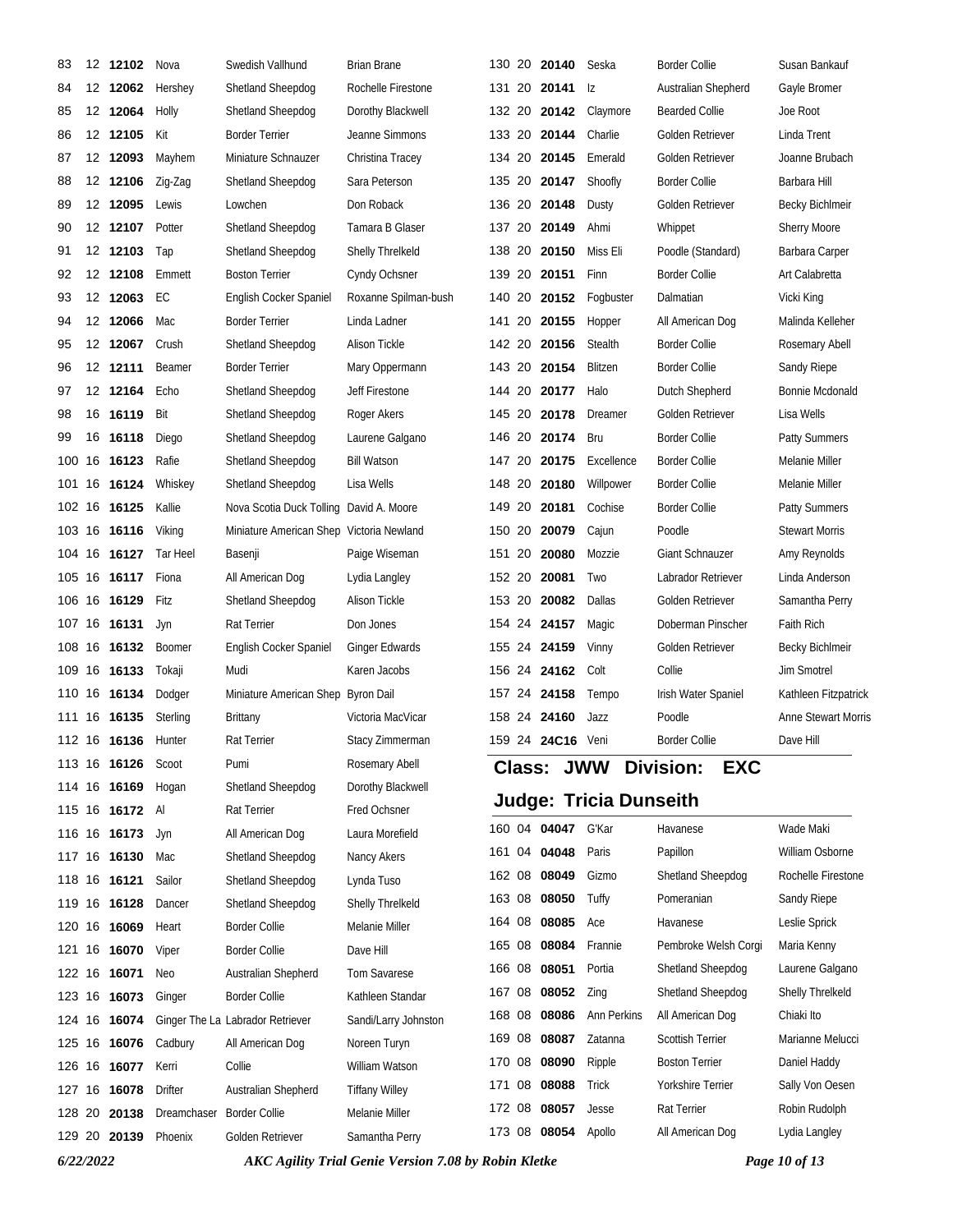| 83     | 12 12102            | Nova           | Swedish Vallhund                         | <b>Brian Brane</b>    |        | 130 20 20140      | Seska                         | Border Collie           | Susan Bankauf          |
|--------|---------------------|----------------|------------------------------------------|-----------------------|--------|-------------------|-------------------------------|-------------------------|------------------------|
| 84     | 12 12062            | Hershey        | Shetland Sheepdog                        | Rochelle Firestone    |        | 131 20 20141      | Iz                            | Australian Shepherd     | Gayle Bromer           |
| 85     | 12 12064            | Holly          | <b>Shetland Sheepdog</b>                 | Dorothy Blackwell     |        | 132 20 20142      | Claymore                      | <b>Bearded Collie</b>   | Joe Root               |
| 86     | 12 12105            | Kit            | <b>Border Terrier</b>                    | Jeanne Simmons        |        | 133 20 20144      | Charlie                       | Golden Retriever        | Linda Trent            |
| 87     | 12 12093            | Mayhem         | Miniature Schnauzer                      | Christina Tracey      |        | 134 20 20145      | Emerald                       | Golden Retriever        | Joanne Brubach         |
| 88     | 12 12106            | Zig-Zag        | Shetland Sheepdog                        | Sara Peterson         |        | 135 20 20147      | Shoofly                       | Border Collie           | Barbara Hill           |
| 89     | 12 12095            | Lewis          | Lowchen                                  | Don Roback            |        | 136 20 20148      | Dusty                         | Golden Retriever        | <b>Becky Bichlmeir</b> |
| 90     | 12 12107            | Potter         | Shetland Sheepdog                        | Tamara B Glaser       |        | 137 20 20149      | Ahmi                          | Whippet                 | <b>Sherry Moore</b>    |
| 91     | 12 12103            | Tap            | <b>Shetland Sheepdog</b>                 | Shelly Threlkeld      |        | 138 20 20150      | Miss Eli                      | Poodle (Standard)       | Barbara Carper         |
| 92     | 12 12108            | Emmett         | <b>Boston Terrier</b>                    | Cyndy Ochsner         |        | 139 20 20151      | Finn                          | Border Collie           | Art Calabretta         |
| 93     | 12 12063            | EC             | English Cocker Spaniel                   | Roxanne Spilman-bush  |        | 140 20 20152      | Fogbuster                     | Dalmatian               | Vicki King             |
| 94     | 12 12066            | Mac            | <b>Border Terrier</b>                    | Linda Ladner          | 141 20 | 20155             | Hopper                        | All American Dog        | Malinda Kelleher       |
| 95     | 12 12067            | Crush          | Shetland Sheepdog                        | Alison Tickle         |        | 142 20 20156      | Stealth                       | Border Collie           | Rosemary Abell         |
| 96     | 12 12111            | Beamer         | <b>Border Terrier</b>                    | Mary Oppermann        |        | 143 20 20154      | Blitzen                       | <b>Border Collie</b>    | Sandy Riepe            |
| 97     | 12 12164            | Echo           | Shetland Sheepdog                        | Jeff Firestone        |        | 144 20 20177      | Halo                          | Dutch Shepherd          | Bonnie Mcdonald        |
| 98     | 16 16119            | Bit            | Shetland Sheepdog                        | Roger Akers           | 145 20 | 20178             | Dreamer                       | Golden Retriever        | Lisa Wells             |
| 99     | 16 16118            | Diego          | Shetland Sheepdog                        | Laurene Galgano       |        | 146 20 20174      | Bru                           | <b>Border Collie</b>    | <b>Patty Summers</b>   |
|        | 100 16 16123        | Rafie          | Shetland Sheepdog                        | <b>Bill Watson</b>    |        | 147 20 20175      | Excellence                    | Border Collie           | Melanie Miller         |
|        | 101 16 16124        | Whiskey        | Shetland Sheepdog                        | Lisa Wells            |        | 148 20 20180      | Willpower                     | <b>Border Collie</b>    | Melanie Miller         |
|        | 102 16 16125        | Kallie         | Nova Scotia Duck Tolling David A. Moore  |                       | 149 20 | 20181             | Cochise                       | <b>Border Collie</b>    | <b>Patty Summers</b>   |
|        | 103 16 16116        | Viking         | Miniature American Shep Victoria Newland |                       |        | 150 20 20079      | Cajun                         | Poodle                  | <b>Stewart Morris</b>  |
|        | 104 16 16127        | Tar Heel       | Basenji                                  | Paige Wiseman         |        | 151 20 20080      | Mozzie                        | <b>Giant Schnauzer</b>  | Amy Reynolds           |
|        | 105 16 16117        | Fiona          | All American Dog                         | Lydia Langley         |        | 152 20 20081      | Two                           | Labrador Retriever      | Linda Anderson         |
|        | 106 16 16129        | Fitz           | Shetland Sheepdog                        | Alison Tickle         |        | 153 20 20082      | Dallas                        | Golden Retriever        | Samantha Perry         |
|        | 107 16 16131        | Jyn            | Rat Terrier                              | Don Jones             |        | 154 24 24157      | Magic                         | Doberman Pinscher       | Faith Rich             |
|        | 108 16 16132        | <b>Boomer</b>  | English Cocker Spaniel                   | Ginger Edwards        |        | 155 24 24159      | Vinny                         | Golden Retriever        | Becky Bichlmeir        |
|        | 109 16 16133        | Tokaji         | Mudi                                     | Karen Jacobs          |        | 156 24 24162      | Colt                          | Collie                  | <b>Jim Smotrel</b>     |
|        | 110 16 16134        | Dodger         | Miniature American Shep Byron Dail       |                       |        | 157 24 24158      | Tempo                         | Irish Water Spaniel     | Kathleen Fitzpatrick   |
|        | 111 16 16135        | Sterling       | Brittany                                 | Victoria MacVicar     |        | 158 24 24160      | Jazz                          | Poodle                  | Anne Stewart Morris    |
|        | 112 16 16136 Hunter |                | Rat Terrier                              | Stacy Zimmerman       |        | 159 24 24C16 Veni |                               | Border Collie           | Dave Hill              |
|        | 113 16 16126        | Scoot          | Pumi                                     | Rosemary Abell        |        | <b>Class:</b>     | <b>JWW Division:</b>          | <b>EXC</b>              |                        |
|        | 114 16 16169        | Hogan          | Shetland Sheepdog                        | Dorothy Blackwell     |        |                   | <b>Judge: Tricia Dunseith</b> |                         |                        |
|        | 115 16 16172 Al     |                | Rat Terrier                              | Fred Ochsner          |        |                   |                               |                         |                        |
|        | 116 16 16173        | Jyn            | All American Dog                         | Laura Morefield       |        | 160 04 04047      | G'Kar                         | Havanese                | Wade Maki              |
|        | 117 16 16130        | Mac            | Shetland Sheepdog                        | Nancy Akers           |        | 161 04 04048      | Paris                         | Papillon                | William Osborne        |
|        | 118 16 16121        | Sailor         | Shetland Sheepdog                        | Lynda Tuso            |        | 162 08 08049      | Gizmo                         | Shetland Sheepdog       | Rochelle Firestone     |
|        | 119 16 16128        | Dancer         | Shetland Sheepdog                        | Shelly Threlkeld      |        | 163 08 08050      | Tuffy                         | Pomeranian              | Sandy Riepe            |
|        | 120 16 16069        | Heart          | <b>Border Collie</b>                     | Melanie Miller        |        | 164 08 08085      | Ace                           | Havanese                | Leslie Sprick          |
|        | 121 16 16070        | Viper          | <b>Border Collie</b>                     | Dave Hill             | 165 08 | 08084             | Frannie                       | Pembroke Welsh Corgi    | Maria Kenny            |
|        | 122 16 16071        | <b>Neo</b>     | Australian Shepherd                      | <b>Tom Savarese</b>   |        | 166 08 08051      | Portia                        | Shetland Sheepdog       | Laurene Galgano        |
|        | 123 16 16073        | Ginger         | <b>Border Collie</b>                     | Kathleen Standar      |        | 167 08 08052      | Zing                          | Shetland Sheepdog       | Shelly Threlkeld       |
|        | 124 16 16074        |                | Ginger The La Labrador Retriever         | Sandi/Larry Johnston  |        | 168 08 08086      | Ann Perkins                   | All American Dog        | Chiaki Ito             |
|        | 125 16 16076        | Cadbury        | All American Dog                         | Noreen Turyn          | 169 08 | 08087             | Zatanna                       | <b>Scottish Terrier</b> | Marianne Melucci       |
|        | 126 16 16077        | Kerri          | Collie                                   | William Watson        | 170 08 | 08090             | Ripple                        | <b>Boston Terrier</b>   | Daniel Haddy           |
|        | 127 16 16078        | <b>Drifter</b> | Australian Shepherd                      | <b>Tiffany Willey</b> | 171 08 | 08088             | Trick                         | Yorkshire Terrier       | Sally Von Oesen        |
| 128 20 | 20138               | Dreamchaser    | <b>Border Collie</b>                     | Melanie Miller        |        | 172 08 08057      | Jesse                         | Rat Terrier             | Robin Rudolph          |
|        | 129 20 20139        | Phoenix        | Golden Retriever                         | Samantha Perry        | 173 08 | 08054             | Apollo                        | All American Dog        | Lydia Langley          |

*6/22/2022 AKC Agility Trial Genie Version 7.08 by Robin Kletke Page 10 of 13*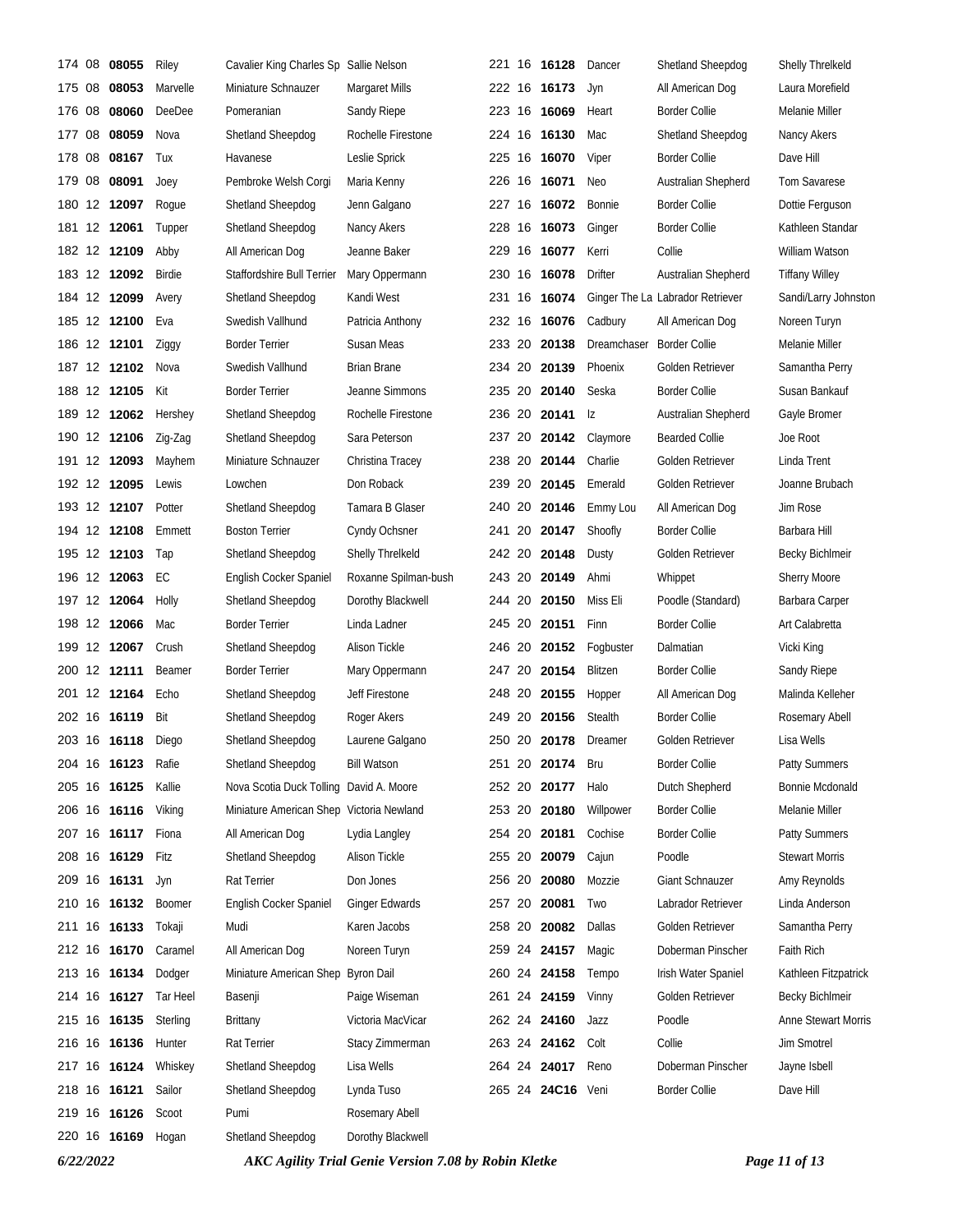| 174    | 08 | 08055        | Riley         | Cavalier King Charles Sp Sallie Nelson   |                       |        | 221 16 16128      | Dancer                    | Shetland Sheepdog                | Shelly Threlkeld      |
|--------|----|--------------|---------------|------------------------------------------|-----------------------|--------|-------------------|---------------------------|----------------------------------|-----------------------|
| 175 08 |    | 08053        | Marvelle      | Miniature Schnauzer                      | <b>Margaret Mills</b> |        | 222 16 16173      | Jyn                       | All American Dog                 | Laura Morefield       |
| 176    | 08 | 08060        | DeeDee        | Pomeranian                               | Sandy Riepe           |        | 223 16 16069      | Heart                     | <b>Border Collie</b>             | Melanie Miller        |
| 177 08 |    | 08059        | Nova          | Shetland Sheepdog                        | Rochelle Firestone    |        | 224 16 16130      | Mac                       | Shetland Sheepdog                | Nancy Akers           |
| 178    | 08 | 08167        | Tux           | Havanese                                 | Leslie Sprick         |        | 225 16 16070      | Viper                     | <b>Border Collie</b>             | Dave Hill             |
|        |    | 179 08 08091 | Joey          | Pembroke Welsh Corgi                     | Maria Kenny           |        | 226 16 16071      | Neo                       | Australian Shepherd              | <b>Tom Savarese</b>   |
|        |    | 180 12 12097 | Roque         | Shetland Sheepdog                        | Jenn Galgano          |        | 227 16 16072      | Bonnie                    | Border Collie                    | Dottie Ferguson       |
|        |    | 181 12 12061 | Tupper        | Shetland Sheepdog                        | Nancy Akers           |        | 228 16 16073      | Ginger                    | Border Collie                    | Kathleen Standar      |
|        |    | 182 12 12109 | Abby          | All American Dog                         | Jeanne Baker          |        | 229 16 16077      | Kerri                     | Collie                           | William Watson        |
|        |    | 183 12 12092 | Birdie        | Staffordshire Bull Terrier               | Mary Oppermann        |        | 230 16 16078      | <b>Drifter</b>            | Australian Shepherd              | <b>Tiffany Willey</b> |
|        |    | 184 12 12099 | Avery         | Shetland Sheepdog                        | Kandi West            |        | 231 16 16074      |                           | Ginger The La Labrador Retriever | Sandi/Larry Johnston  |
|        |    | 185 12 12100 | Eva           | Swedish Vallhund                         | Patricia Anthony      |        | 232 16 16076      | Cadbury                   | All American Dog                 | Noreen Turyn          |
|        |    | 186 12 12101 | Ziggy         | <b>Border Terrier</b>                    | Susan Meas            |        | 233 20 20138      | Dreamchaser Border Collie |                                  | Melanie Miller        |
|        |    | 187 12 12102 | Nova          | Swedish Vallhund                         | <b>Brian Brane</b>    |        | 234 20 20139      | Phoenix                   | Golden Retriever                 | Samantha Perry        |
|        |    | 188 12 12105 | Kit           | <b>Border Terrier</b>                    | Jeanne Simmons        |        | 235 20 20140      | Seska                     | <b>Border Collie</b>             | Susan Bankauf         |
|        |    | 189 12 12062 | Hershey       | Shetland Sheepdog                        | Rochelle Firestone    |        | 236 20 20141      | Iz                        | Australian Shepherd              | Gayle Bromer          |
|        |    | 190 12 12106 | Zig-Zag       | Shetland Sheepdog                        | Sara Peterson         |        | 237 20 20142      | Claymore                  | <b>Bearded Collie</b>            | Joe Root              |
|        |    | 191 12 12093 | Mayhem        | Miniature Schnauzer                      | Christina Tracey      |        | 238 20 20144      | Charlie                   | Golden Retriever                 | Linda Trent           |
|        |    | 192 12 12095 | Lewis         | Lowchen                                  | Don Roback            |        | 239 20 20145      | Emerald                   | Golden Retriever                 | Joanne Brubach        |
|        |    | 193 12 12107 | Potter        | Shetland Sheepdog                        | Tamara B Glaser       |        | 240 20 20146      | Emmy Lou                  | All American Dog                 | Jim Rose              |
|        |    | 194 12 12108 | Emmett        | <b>Boston Terrier</b>                    | Cyndy Ochsner         |        | 241 20 20147      | Shoofly                   | <b>Border Collie</b>             | Barbara Hill          |
|        |    | 195 12 12103 | Tap           | Shetland Sheepdog                        | Shelly Threlkeld      |        | 242 20 20148      | Dusty                     | Golden Retriever                 | Becky Bichlmeir       |
| 196    |    | 12 12063     | EC            | English Cocker Spaniel                   | Roxanne Spilman-bush  | 243 20 | 20149             | Ahmi                      | Whippet                          | <b>Sherry Moore</b>   |
|        |    | 197 12 12064 | Holly         | Shetland Sheepdog                        | Dorothy Blackwell     |        | 244 20 20150      | Miss Eli                  | Poodle (Standard)                | Barbara Carper        |
|        |    | 198 12 12066 | Mac           | <b>Border Terrier</b>                    | Linda Ladner          |        | 245 20 20151      | Finn                      | <b>Border Collie</b>             | Art Calabretta        |
|        |    | 199 12 12067 | Crush         | Shetland Sheepdog                        | Alison Tickle         |        | 246 20 20152      | Fogbuster                 | Dalmatian                        | Vicki King            |
|        |    | 200 12 12111 | Beamer        | <b>Border Terrier</b>                    | Mary Oppermann        | 247 20 | 20154             | Blitzen                   | <b>Border Collie</b>             | Sandy Riepe           |
|        |    | 201 12 12164 | Echo          | Shetland Sheepdog                        | Jeff Firestone        |        | 248 20 20155      | Hopper                    | All American Dog                 | Malinda Kelleher      |
|        |    | 202 16 16119 | Bit           | Shetland Sheepdog                        | Roger Akers           | 249 20 | 20156             | Stealth                   | <b>Border Collie</b>             | Rosemary Abell        |
|        |    | 203 16 16118 | Diego         | Shetland Sheepdog                        | Laurene Galgano       |        | 250 20 20178      | Dreamer                   | Golden Retriever                 | Lisa Wells            |
|        |    | 204 16 16123 | Rafie         | Shetland Sheepdog                        | <b>Bill Watson</b>    |        | 251 20 20174      | Bru                       | <b>Border Collie</b>             | Patty Summers         |
|        |    | 205 16 16125 | Kallie        | Nova Scotia Duck Tolling David A. Moore  |                       |        | 252 20 20177      | Halo                      | Dutch Shepherd                   | Bonnie Mcdonald       |
|        |    | 206 16 16116 | Viking        | Miniature American Shep Victoria Newland |                       | 253 20 | 20180             | Willpower                 | <b>Border Collie</b>             | Melanie Miller        |
|        |    | 207 16 16117 | Fiona         | All American Dog                         | Lydia Langley         |        | 254 20 20181      | Cochise                   | <b>Border Collie</b>             | Patty Summers         |
|        |    | 208 16 16129 | Fitz          | Shetland Sheepdog                        | Alison Tickle         | 255 20 | 20079             | Cajun                     | Poodle                           | <b>Stewart Morris</b> |
|        |    | 209 16 16131 | Jyn           | Rat Terrier                              | Don Jones             |        | 256 20 20080      | Mozzie                    | Giant Schnauzer                  | Amy Reynolds          |
|        |    | 210 16 16132 | <b>Boomer</b> | English Cocker Spaniel                   | <b>Ginger Edwards</b> | 257 20 | 20081             | Two                       | Labrador Retriever               | Linda Anderson        |
|        |    | 211 16 16133 | Tokaji        | Mudi                                     | Karen Jacobs          |        | 258 20 20082      | Dallas                    | Golden Retriever                 | Samantha Perry        |
|        |    | 212 16 16170 | Caramel       | All American Dog                         | Noreen Turyn          |        | 259 24 24157      | Magic                     | Doberman Pinscher                | Faith Rich            |
|        |    | 213 16 16134 | Dodger        | Miniature American Shep                  | <b>Byron Dail</b>     |        | 260 24 24158      | Tempo                     | Irish Water Spaniel              | Kathleen Fitzpatrick  |
|        |    | 214 16 16127 | Tar Heel      | Basenji                                  | Paige Wiseman         |        | 261 24 24159      | Vinny                     | Golden Retriever                 | Becky Bichlmeir       |
|        |    | 215 16 16135 | Sterling      | Brittany                                 | Victoria MacVicar     |        | 262 24 24160      | Jazz                      | Poodle                           | Anne Stewart Morris   |
|        |    | 216 16 16136 | Hunter        | Rat Terrier                              | Stacy Zimmerman       |        | 263 24 24162      | Colt                      | Collie                           | Jim Smotrel           |
|        |    | 217 16 16124 | Whiskey       | Shetland Sheepdog                        | Lisa Wells            |        | 264 24 24017      | Reno                      | Doberman Pinscher                | Jayne Isbell          |
|        |    | 218 16 16121 | Sailor        | Shetland Sheepdog                        | Lynda Tuso            |        | 265 24 24C16 Veni |                           | <b>Border Collie</b>             | Dave Hill             |
|        |    | 219 16 16126 | Scoot         | Pumi                                     | Rosemary Abell        |        |                   |                           |                                  |                       |
|        |    | 220 16 16169 | Hogan         | Shetland Sheepdog                        | Dorothy Blackwell     |        |                   |                           |                                  |                       |

*6/22/2022 AKC Agility Trial Genie Version 7.08 by Robin Kletke Page 11 of 13*